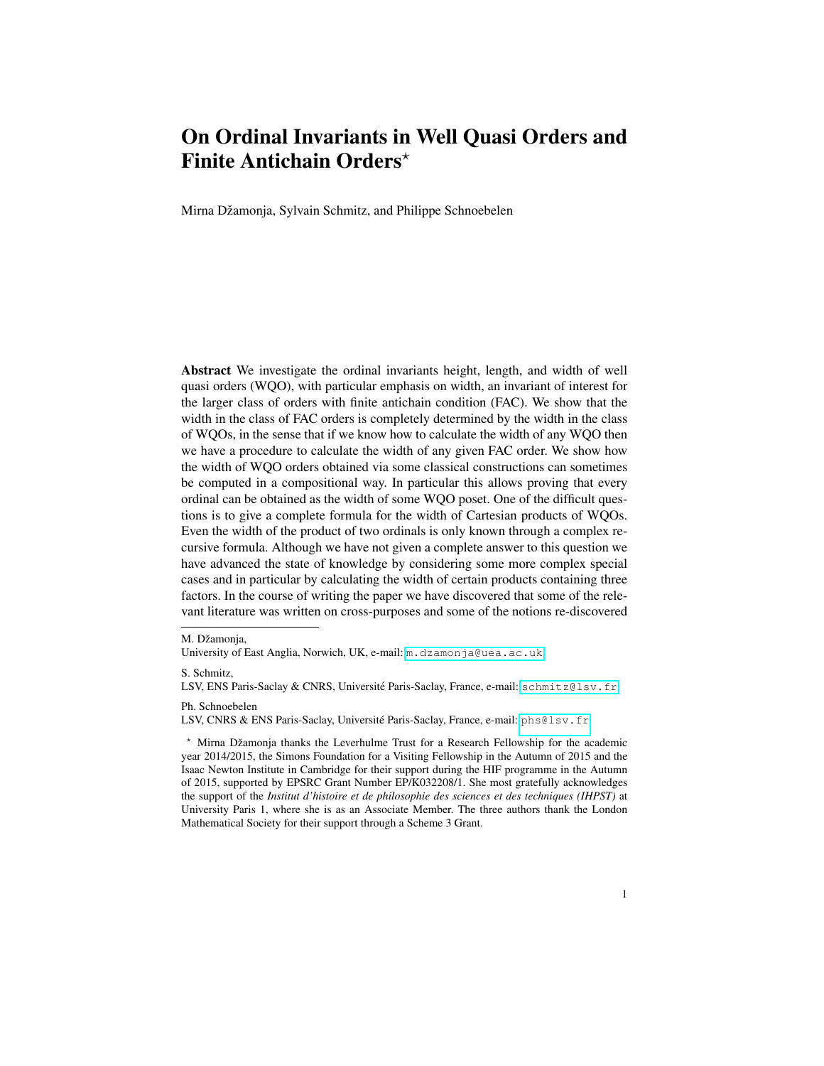Mirna Džamonja, Sylvain Schmitz, and Philippe Schnoebelen

Abstract We investigate the ordinal invariants height, length, and width of well quasi orders (WQO), with particular emphasis on width, an invariant of interest for the larger class of orders with finite antichain condition (FAC). We show that the width in the class of FAC orders is completely determined by the width in the class of WQOs, in the sense that if we know how to calculate the width of any WQO then we have a procedure to calculate the width of any given FAC order. We show how the width of WQO orders obtained via some classical constructions can sometimes be computed in a compositional way. In particular this allows proving that every ordinal can be obtained as the width of some WQO poset. One of the difficult questions is to give a complete formula for the width of Cartesian products of WQOs. Even the width of the product of two ordinals is only known through a complex recursive formula. Although we have not given a complete answer to this question we have advanced the state of knowledge by considering some more complex special cases and in particular by calculating the width of certain products containing three factors. In the course of writing the paper we have discovered that some of the relevant literature was written on cross-purposes and some of the notions re-discovered

S. Schmitz,

Ph. Schnoebelen

LSV, CNRS & ENS Paris-Saclay, Université Paris-Saclay, France, e-mail: <phs@lsv.fr>

M. Džamonia,

University of East Anglia, Norwich, UK, e-mail: <m.dzamonja@uea.ac.uk>

LSV, ENS Paris-Saclay & CNRS, Université Paris-Saclay, France, e-mail: <schmitz@lsv.fr>

 $*$  Mirna Džamonja thanks the Leverhulme Trust for a Research Fellowship for the academic year 2014/2015, the Simons Foundation for a Visiting Fellowship in the Autumn of 2015 and the Isaac Newton Institute in Cambridge for their support during the HIF programme in the Autumn of 2015, supported by EPSRC Grant Number EP/K032208/1. She most gratefully acknowledges the support of the *Institut d'histoire et de philosophie des sciences et des techniques (IHPST)* at University Paris 1, where she is as an Associate Member. The three authors thank the London Mathematical Society for their support through a Scheme 3 Grant.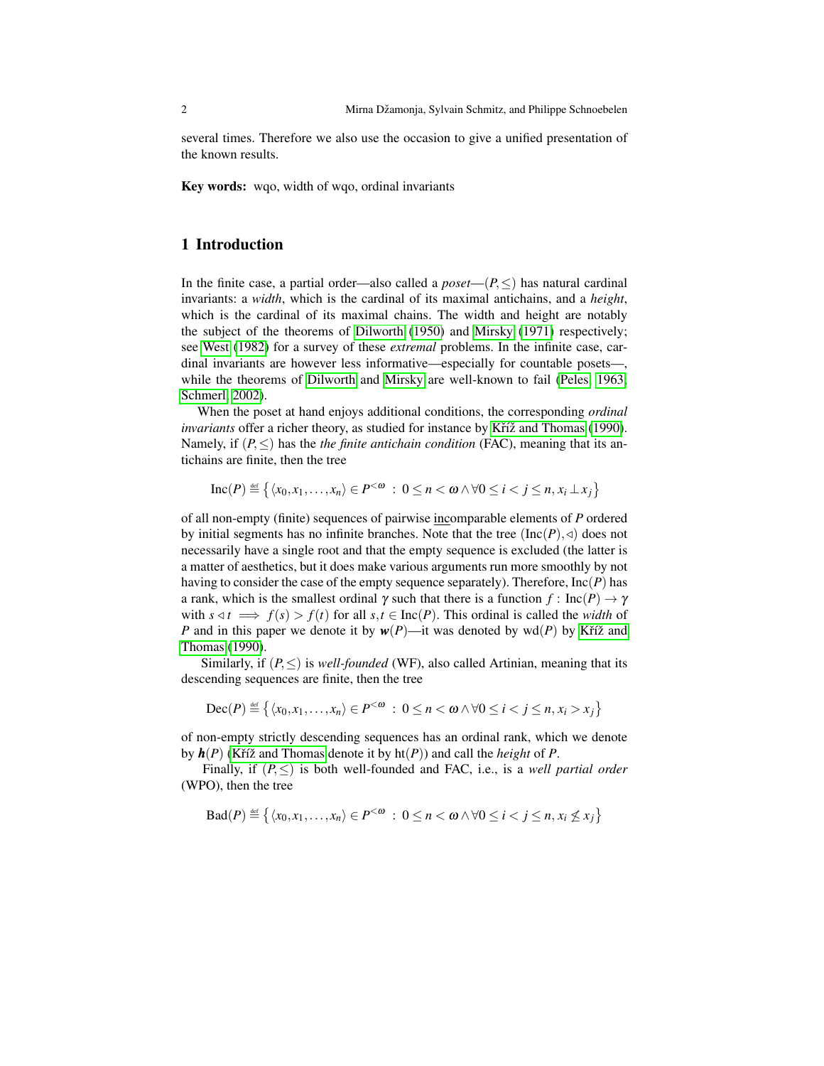several times. Therefore we also use the occasion to give a unified presentation of the known results.

Key words: wqo, width of wqo, ordinal invariants

# 1 Introduction

In the finite case, a partial order—also called a  $poset-(P, \leq)$  has natural cardinal invariants: a *width*, which is the cardinal of its maximal antichains, and a *height*, which is the cardinal of its maximal chains. The width and height are notably the subject of the theorems of [Dilworth](#page-23-0) [\(1950\)](#page-23-0) and [Mirsky](#page-24-0) [\(1971\)](#page-24-0) respectively; see [West](#page-24-1) [\(1982\)](#page-24-1) for a survey of these *extremal* problems. In the infinite case, cardinal invariants are however less informative—especially for countable posets—, while the theorems of [Dilworth](#page-23-0) and [Mirsky](#page-24-0) are well-known to fail [\(Peles, 1963;](#page-24-2) [Schmerl, 2002\)](#page-24-3).

When the poset at hand enjoys additional conditions, the corresponding *ordinal invariants* offer a richer theory, as studied for instance by Kříž and Thomas [\(1990\)](#page-24-4). Namely, if  $(P, \leq)$  has the *the finite antichain condition* (FAC), meaning that its antichains are finite, then the tree

$$
\mathrm{Inc}(P) \stackrel{\text{\tiny def}}{=} \left\{ \langle x_0, x_1, \ldots, x_n \rangle \in P^{< \omega} \; : \; 0 \le n < \omega \land \forall 0 \le i < j \le n, x_i \perp x_j \right\}
$$

of all non-empty (finite) sequences of pairwise incomparable elements of *P* ordered by initial segments has no infinite branches. Note that the tree  $(Inc(P), \triangleleft)$  does not necessarily have a single root and that the empty sequence is excluded (the latter is a matter of aesthetics, but it does make various arguments run more smoothly by not having to consider the case of the empty sequence separately). Therefore, Inc(*P*) has a rank, which is the smallest ordinal  $\gamma$  such that there is a function  $f: \text{Inc}(P) \to \gamma$ with  $s \triangleleft t \implies f(s) > f(t)$  for all  $s, t \in \text{Inc}(P)$ . This ordinal is called the *width* of *P* and in this paper we denote it by  $w(P)$ —it was denoted by wd(*P*) by Kříž and [Thomas](#page-24-4) [\(1990\)](#page-24-4).

Similarly, if  $(P, \leq)$  is *well-founded* (WF), also called Artinian, meaning that its descending sequences are finite, then the tree

$$
\mathsf{Dec}(P) \stackrel{\scriptscriptstyle{\mathsf{def}}}{=} \left\{ \langle x_0, x_1, \ldots, x_n \rangle \in P^{< \omega} \; : \; 0 \leq n < \omega \land \forall 0 \leq i < j \leq n, x_i > x_j \right\}
$$

of non-empty strictly descending sequences has an ordinal rank, which we denote by  $h(P)$  (Kříž and Thomas denote it by  $h(P)$ ) and call the *height* of *P*.

Finally, if  $(P, \leq)$  is both well-founded and FAC, i.e., is a *well partial order* (WPO), then the tree

$$
\text{Bad}(P) \stackrel{\text{def}}{=} \left\{ \langle x_0, x_1, \ldots, x_n \rangle \in P^{< \omega} \; : \; 0 \leq n < \omega \land \forall 0 \leq i < j \leq n, x_i \not\leq x_j \right\}
$$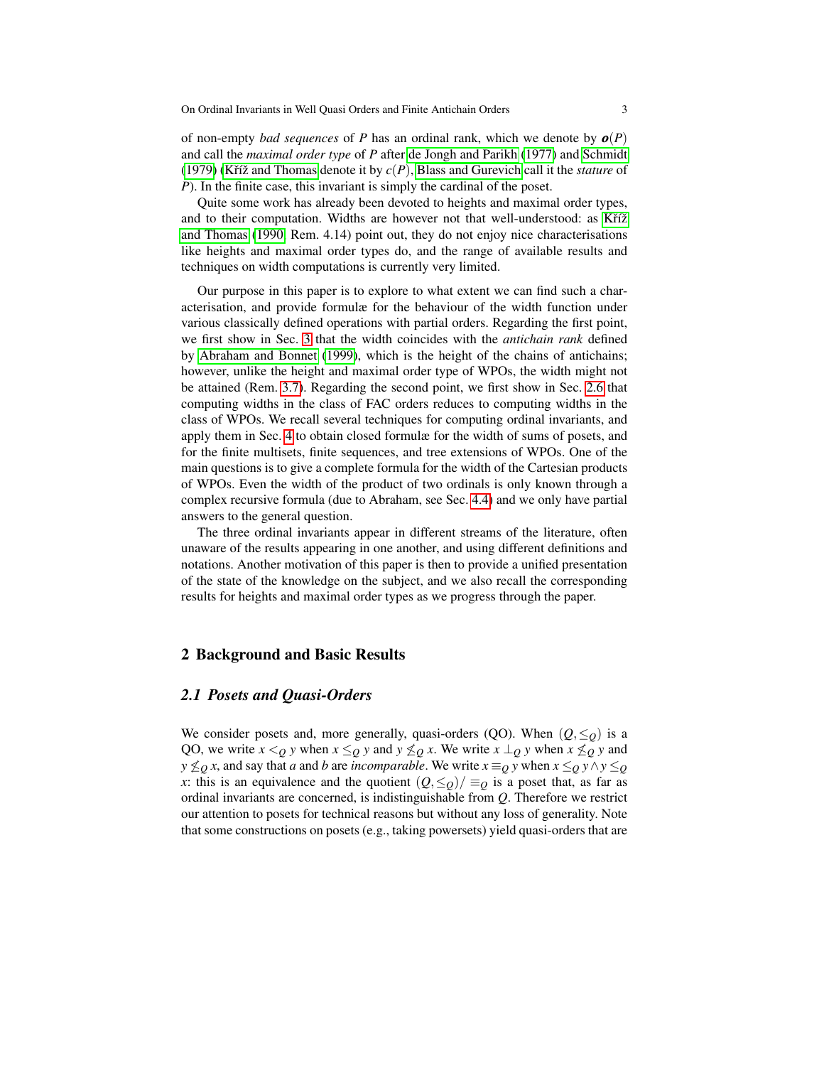of non-empty *bad sequences* of *P* has an ordinal rank, which we denote by  $o(P)$ and call the *maximal order type* of *P* after [de Jongh and Parikh](#page-23-1) [\(1977\)](#page-23-1) and [Schmidt](#page-24-5) [\(1979\)](#page-24-5) (Kříž and Thomas denote it by  $c(P)$ , [Blass and Gurevich](#page-23-2) call it the *stature* of *P*). In the finite case, this invariant is simply the cardinal of the poset.

Quite some work has already been devoted to heights and maximal order types, and to their computation. Widths are however not that well-understood: as Kříž [and Thomas](#page-24-4) [\(1990,](#page-24-4) Rem. 4.14) point out, they do not enjoy nice characterisations like heights and maximal order types do, and the range of available results and techniques on width computations is currently very limited.

Our purpose in this paper is to explore to what extent we can find such a characterisation, and provide formulæ for the behaviour of the width function under various classically defined operations with partial orders. Regarding the first point, we first show in Sec. [3](#page-7-0) that the width coincides with the *antichain rank* defined by [Abraham and Bonnet](#page-23-3) [\(1999\)](#page-23-3), which is the height of the chains of antichains; however, unlike the height and maximal order type of WPOs, the width might not be attained (Rem. [3.7\)](#page-9-0). Regarding the second point, we first show in Sec. [2.6](#page-6-0) that computing widths in the class of FAC orders reduces to computing widths in the class of WPOs. We recall several techniques for computing ordinal invariants, and apply them in Sec. [4](#page-11-0) to obtain closed formulæ for the width of sums of posets, and for the finite multisets, finite sequences, and tree extensions of WPOs. One of the main questions is to give a complete formula for the width of the Cartesian products of WPOs. Even the width of the product of two ordinals is only known through a complex recursive formula (due to Abraham, see Sec. [4.4\)](#page-13-0) and we only have partial answers to the general question.

The three ordinal invariants appear in different streams of the literature, often unaware of the results appearing in one another, and using different definitions and notations. Another motivation of this paper is then to provide a unified presentation of the state of the knowledge on the subject, and we also recall the corresponding results for heights and maximal order types as we progress through the paper.

# 2 Background and Basic Results

# *2.1 Posets and Quasi-Orders*

We consider posets and, more generally, quasi-orders (QO). When  $(Q, \leq_Q)$  is a QO, we write  $x <_Q y$  when  $x \leq_Q y$  and  $y \nleq_Q x$ . We write  $x \perp_Q y$  when  $x \nleq_Q y$  and *y*  $\leq$ *o x*, and say that *a* and *b* are *incomparable*. We write *x* ≡*Q y* when *x* ≤*Q y* ∧*y* ≤*Q x*: this is an equivalence and the quotient  $(Q, \leq_Q)/\equiv_Q$  is a poset that, as far as ordinal invariants are concerned, is indistinguishable from *Q*. Therefore we restrict our attention to posets for technical reasons but without any loss of generality. Note that some constructions on posets (e.g., taking powersets) yield quasi-orders that are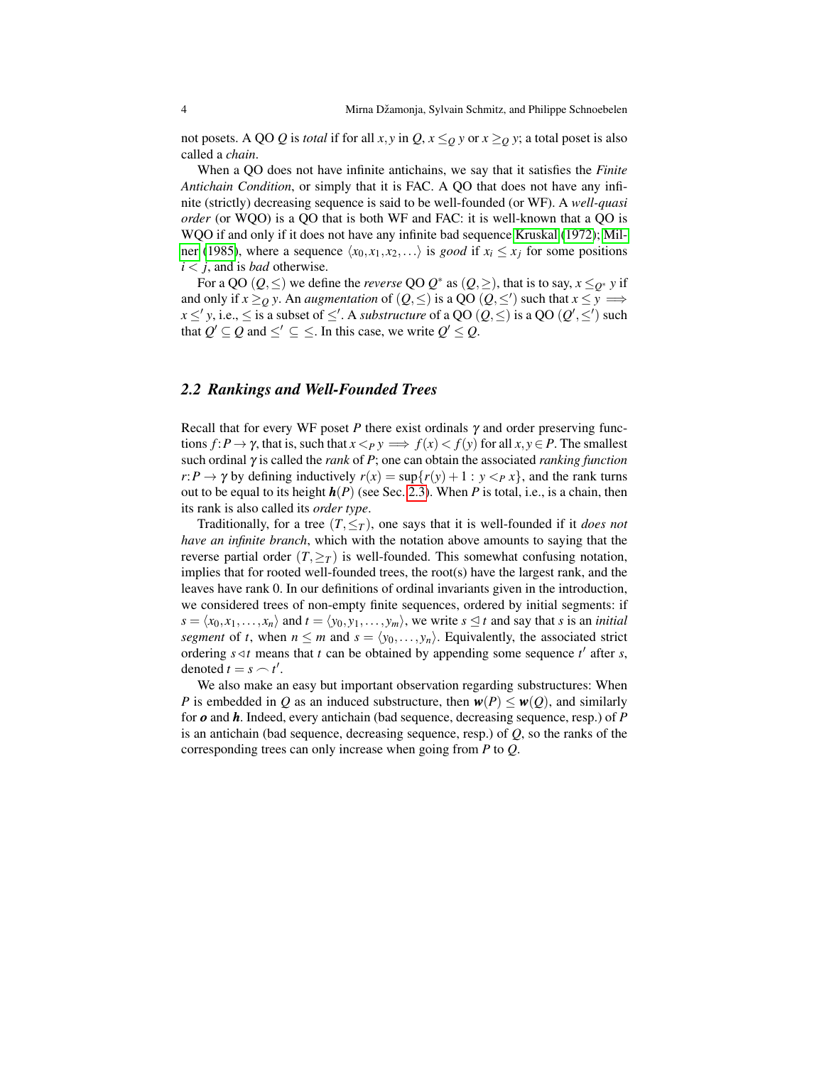not posets. A QO *Q* is *total* if for all *x*, *y* in *Q*,  $x \leq_Q y$  or  $x \geq_Q y$ ; a total poset is also called a *chain*.

When a QO does not have infinite antichains, we say that it satisfies the *Finite Antichain Condition*, or simply that it is FAC. A QO that does not have any infinite (strictly) decreasing sequence is said to be well-founded (or WF). A *well-quasi order* (or WQO) is a QO that is both WF and FAC: it is well-known that a QO is WQO if and only if it does not have any infinite bad sequence [Kruskal](#page-24-6) [\(1972\)](#page-24-6); [Mil](#page-24-7)[ner](#page-24-7) [\(1985\)](#page-24-7), where a sequence  $\langle x_0, x_1, x_2, \ldots \rangle$  is *good* if  $x_i \leq x_j$  for some positions *i* < *j*, and is *bad* otherwise.

For a QO  $(Q, \leq)$  we define the *reverse* QO  $Q^*$  as  $(Q, \geq)$ , that is to say,  $x \leq_{Q^*} y$  if and only if  $x \geq_Q y$ . An *augmentation* of  $(Q, \leq')$  is a QO  $(Q, \leq')$  such that  $x \leq y \implies$  $x \leq' y$ , i.e.,  $\leq$  is a subset of  $\leq'$ . A *substructure* of a QO  $(Q, \leq)$  is a QO  $(Q', \leq')$  such that  $Q' \subseteq Q$  and  $\leq' \subseteq \leq$ . In this case, we write  $Q' \leq Q$ .

#### <span id="page-3-0"></span>*2.2 Rankings and Well-Founded Trees*

Recall that for every WF poset  $P$  there exist ordinals  $\gamma$  and order preserving functions  $f: P \to \gamma$ , that is, such that  $x <_P y \implies f(x) < f(y)$  for all  $x, y \in P$ . The smallest such ordinal γ is called the *rank* of *P*; one can obtain the associated *ranking function*  $r: P \to \gamma$  by defining inductively  $r(x) = \sup\{r(y) + 1 : y \leq_P x\}$ , and the rank turns out to be equal to its height  $h(P)$  (see Sec. [2.3\)](#page-4-0). When P is total, i.e., is a chain, then its rank is also called its *order type*.

Traditionally, for a tree  $(T, \leq_T)$ , one says that it is well-founded if it *does not have an infinite branch*, which with the notation above amounts to saying that the reverse partial order  $(T, \geq_T)$  is well-founded. This somewhat confusing notation, implies that for rooted well-founded trees, the root(s) have the largest rank, and the leaves have rank 0. In our definitions of ordinal invariants given in the introduction, we considered trees of non-empty finite sequences, ordered by initial segments: if  $s = \langle x_0, x_1, \ldots, x_n \rangle$  and  $t = \langle y_0, y_1, \ldots, y_m \rangle$ , we write  $s \leq t$  and say that *s* is an *initial segment* of *t*, when  $n \leq m$  and  $s = \langle y_0, \ldots, y_n \rangle$ . Equivalently, the associated strict ordering  $s \triangleleft t$  means that  $t$  can be obtained by appending some sequence  $t'$  after  $s$ , denoted  $t = s \frown t'$ .

We also make an easy but important observation regarding substructures: When *P* is embedded in *Q* as an induced substructure, then  $w(P) \leq w(Q)$ , and similarly for *o* and *h*. Indeed, every antichain (bad sequence, decreasing sequence, resp.) of *P* is an antichain (bad sequence, decreasing sequence, resp.) of *Q*, so the ranks of the corresponding trees can only increase when going from *P* to *Q*.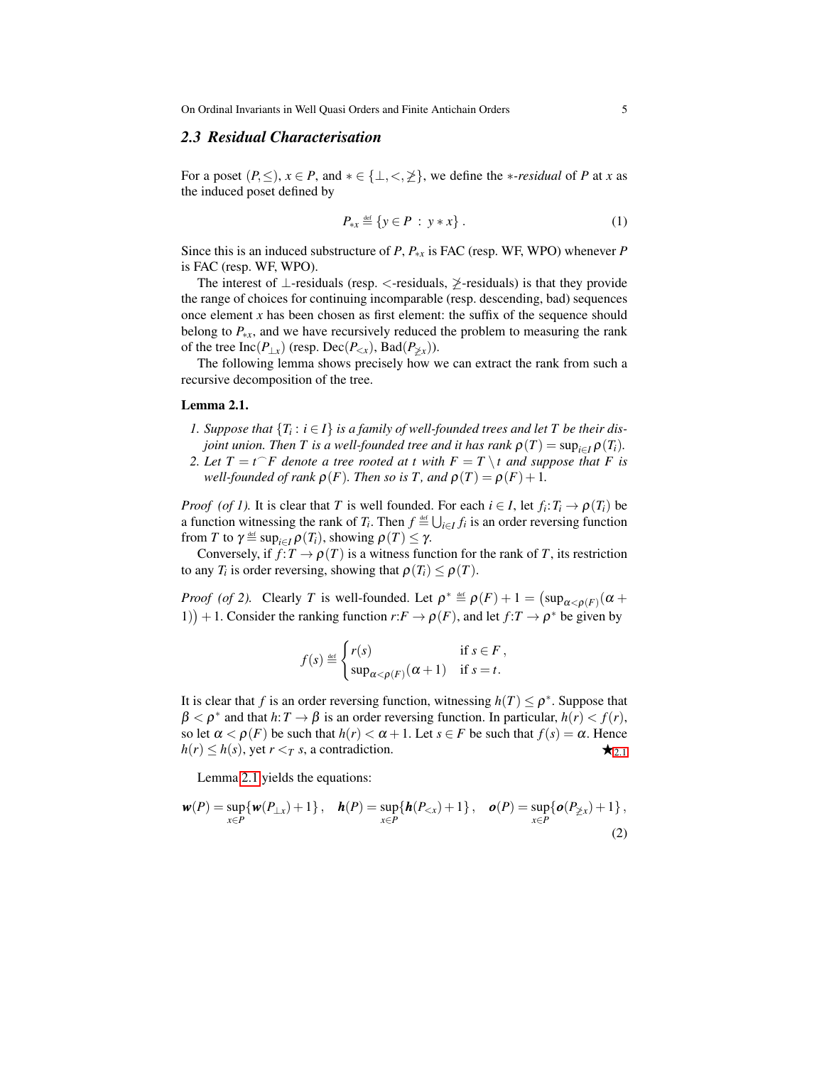## <span id="page-4-0"></span>*2.3 Residual Characterisation*

For a poset  $(P, \leq), x \in P$ , and  $* \in \{\perp, \lt, \geq\}$ , we define the *\*-residual* of *P* at *x* as the induced poset defined by

<span id="page-4-1"></span>
$$
P_{\ast x} \stackrel{\text{def}}{=} \{ y \in P : y \ast x \} . \tag{1}
$$

Since this is an induced substructure of *P*, *P*∗*<sup>x</sup>* is FAC (resp. WF, WPO) whenever *P* is FAC (resp. WF, WPO).

The interest of  $\perp$ -residuals (resp. <-residuals,  $\ngeq$ -residuals) is that they provide the range of choices for continuing incomparable (resp. descending, bad) sequences once element  $x$  has been chosen as first element: the suffix of the sequence should belong to  $P_{*x}$ , and we have recursively reduced the problem to measuring the rank of the tree Inc( $P_{\perp x}$ ) (resp. Dec( $P_{\leq x}$ ), Bad( $P_{\not\geq x}$ )).

The following lemma shows precisely how we can extract the rank from such a recursive decomposition of the tree.

#### Lemma 2.1.

- *1. Suppose that*  ${T_i : i \in I}$  *is a family of well-founded trees and let T be their disjoint union. Then T is a well-founded tree and it has rank*  $\rho(T) = \sup_{i \in I} \rho(T_i)$ .
- 2. Let  $T = t$ <sup> $\cap$ </sup> F denote a tree rooted at t with  $F = T \setminus t$  and suppose that F is *well-founded of rank*  $\rho(F)$ *. Then so is T, and*  $\rho(T) = \rho(F) + 1$ *.*

*Proof* (*of 1*). It is clear that *T* is well founded. For each  $i \in I$ , let  $f_i: T_i \to \rho(T_i)$  be a function witnessing the rank of  $T_i$ . Then  $f \triangleq \bigcup_{i \in I} f_i$  is an order reversing function from *T* to  $\gamma \stackrel{\text{def}}{=} \sup_{i \in I} \rho(T_i)$ , showing  $\rho(T) \leq \gamma$ .

Conversely, if  $f: T \to \rho(T)$  is a witness function for the rank of *T*, its restriction to any  $T_i$  is order reversing, showing that  $\rho(T_i) \leq \rho(T)$ .

*Proof* (of 2). Clearly *T* is well-founded. Let  $\rho^* \triangleq \rho(F) + 1 = \left(\sup_{\alpha < \rho(F)} (\alpha +$ 1) + 1. Consider the ranking function  $r: F \to \rho(F)$ , and let  $f: T \to \rho^*$  be given by

<span id="page-4-2"></span>
$$
f(s) \stackrel{\text{def}}{=} \begin{cases} r(s) & \text{if } s \in F, \\ \sup_{\alpha < \rho(F)} (\alpha + 1) & \text{if } s = t. \end{cases}
$$

It is clear that *f* is an order reversing function, witnessing  $h(T) \leq \rho^*$ . Suppose that  $\beta < \rho^*$  and that  $h: T \to \beta$  is an order reversing function. In particular,  $h(r) < f(r)$ , so let  $\alpha < \rho(F)$  be such that  $h(r) < \alpha + 1$ . Let  $s \in F$  be such that  $f(s) = \alpha$ . Hence  $h(r) \leq h(s)$ , yet  $r < T$  *s*, a contradiction.

Lemma [2.1](#page-4-1) yields the equations:

$$
\mathbf{w}(P) = \sup_{x \in P} \{ \mathbf{w}(P_{\perp x}) + 1 \}, \quad \mathbf{h}(P) = \sup_{x \in P} \{ \mathbf{h}(P_{\lt x}) + 1 \}, \quad \mathbf{o}(P) = \sup_{x \in P} \{ \mathbf{o}(P_{\not\geq x}) + 1 \},
$$
\n(2)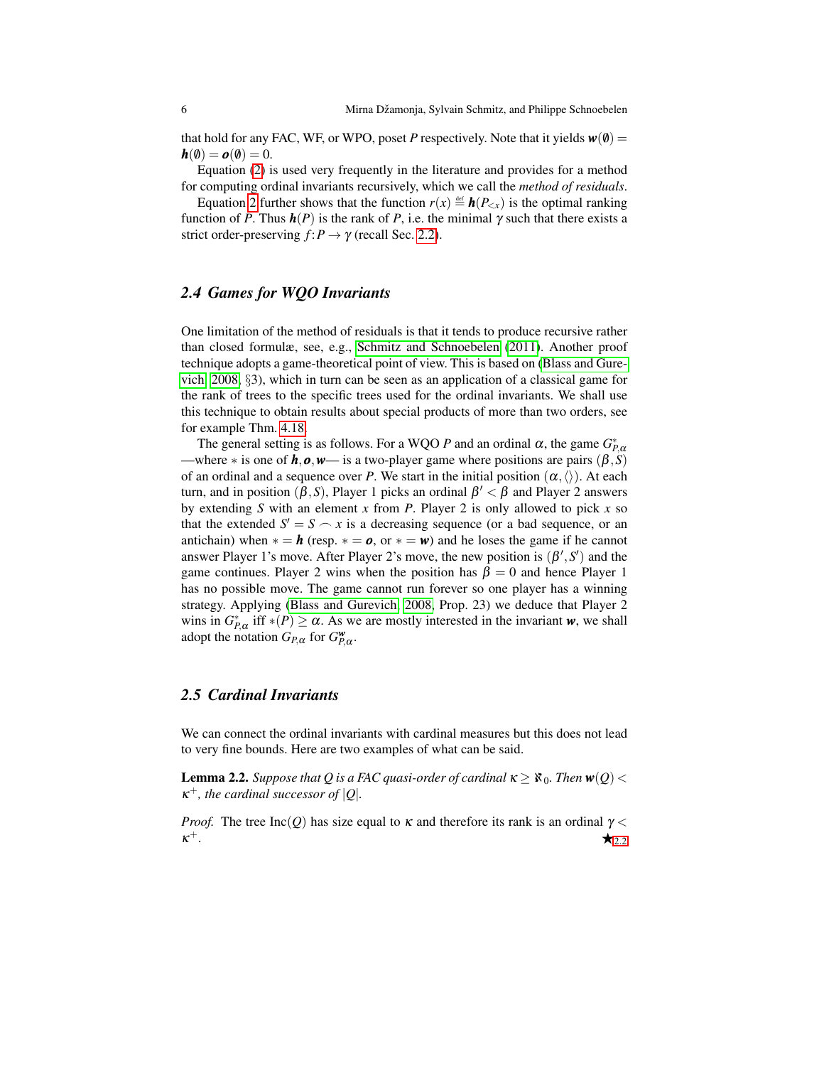that hold for any FAC, WF, or WPO, poset P respectively. Note that it yields  $w(0)$  =  $h(\emptyset) = o(\emptyset) = 0.$ 

Equation [\(2\)](#page-4-2) is used very frequently in the literature and provides for a method for computing ordinal invariants recursively, which we call the *method of residuals*.

Equation [2](#page-4-2) further shows that the function  $r(x) \triangleq h(P_{\leq x})$  is the optimal ranking function of *P*. Thus  $h(P)$  is the rank of *P*, i.e. the minimal  $\gamma$  such that there exists a strict order-preserving  $f: P \to \gamma$  (recall Sec. [2.2\)](#page-3-0).

# *2.4 Games for WQO Invariants*

One limitation of the method of residuals is that it tends to produce recursive rather than closed formulæ, see, e.g., [Schmitz and Schnoebelen](#page-24-8) [\(2011\)](#page-24-8). Another proof technique adopts a game-theoretical point of view. This is based on [\(Blass and Gure](#page-23-2)[vich, 2008,](#page-23-2) §3), which in turn can be seen as an application of a classical game for the rank of trees to the specific trees used for the ordinal invariants. We shall use this technique to obtain results about special products of more than two orders, see for example Thm. [4.18.](#page-17-0)

The general setting is as follows. For a WQO *P* and an ordinal  $\alpha$ , the game  $G_{P,\alpha}^*$ —where  $*$  is one of  $h, o, w$ — is a two-player game where positions are pairs ( $\beta, S$ ) of an ordinal and a sequence over *P*. We start in the initial position  $(\alpha, \langle \rangle)$ . At each turn, and in position ( $\beta$ , S), Player 1 picks an ordinal  $\beta' < \beta$  and Player 2 answers by extending *S* with an element *x* from *P*. Player 2 is only allowed to pick *x* so that the extended  $S' = S \frown x$  is a decreasing sequence (or a bad sequence, or an antichain) when  $* = h$  (resp.  $* = o$ , or  $* = w$ ) and he loses the game if he cannot answer Player 1's move. After Player 2's move, the new position is  $(\beta', S')$  and the game continues. Player 2 wins when the position has  $\beta = 0$  and hence Player 1 has no possible move. The game cannot run forever so one player has a winning strategy. Applying [\(Blass and Gurevich, 2008,](#page-23-2) Prop. 23) we deduce that Player 2 wins in  $G_{P,\alpha}^*$  iff \* $(P) \ge \alpha$ . As we are mostly interested in the invariant *w*, we shall adopt the notation  $G_{P,\alpha}$  for  $G_{P,\alpha}^{\mathbf{w}}$ .

# *2.5 Cardinal Invariants*

We can connect the ordinal invariants with cardinal measures but this does not lead to very fine bounds. Here are two examples of what can be said.

<span id="page-5-0"></span>**Lemma 2.2.** *Suppose that Q is a FAC quasi-order of cardinal*  $\kappa \geq \aleph_0$ *. Then*  $\mathbf{w}(Q)$  <  $\kappa^+$ *, the cardinal successor of*  $|Q|$ *.* 

<span id="page-5-1"></span>*Proof.* The tree Inc(*Q*) has size equal to  $\kappa$  and therefore its rank is an ordinal  $\gamma$  <  $\kappa^+$ .  $+$ .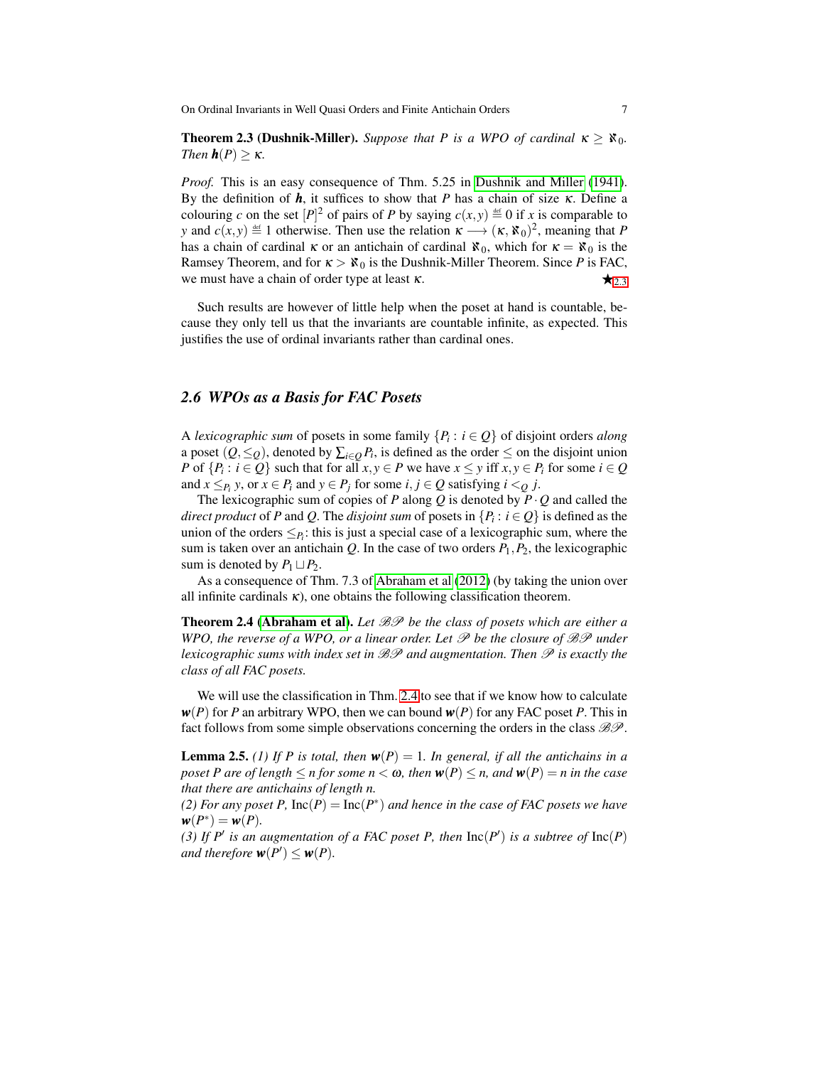**Theorem 2.3 (Dushnik-Miller).** *Suppose that P is a WPO of cardinal*  $\kappa > \aleph_0$ . *Then*  $h(P) \geq \kappa$ *.* 

*Proof.* This is an easy consequence of Thm. 5.25 in [Dushnik and Miller](#page-23-4) [\(1941\)](#page-23-4). By the definition of  $h$ , it suffices to show that *P* has a chain of size  $\kappa$ . Define a colouring *c* on the set  $[P]^2$  of pairs of *P* by saying  $c(x, y) \stackrel{\text{def}}{=} 0$  if *x* is comparable to *y* and  $c(x, y) \triangleq 1$  otherwise. Then use the relation  $\kappa \longrightarrow (\kappa, \aleph_0)^2$ , meaning that *P* has a chain of cardinal  $\kappa$  or an antichain of cardinal  $\aleph_0$ , which for  $\kappa = \aleph_0$  is the Ramsey Theorem, and for  $\kappa > \aleph_0$  is the Dushnik-Miller Theorem. Since *P* is FAC, we must have a chain of order type at least  $\kappa$ .

Such results are however of little help when the poset at hand is countable, because they only tell us that the invariants are countable infinite, as expected. This justifies the use of ordinal invariants rather than cardinal ones.

## <span id="page-6-0"></span>*2.6 WPOs as a Basis for FAC Posets*

A *lexicographic sum* of posets in some family  $\{P_i : i \in Q\}$  of disjoint orders *along* a poset  $(Q, \leq_Q)$ , denoted by  $\sum_{i \in Q} P_i$ , is defined as the order  $\leq$  on the disjoint union *P* of  $\{P_i : i \in Q\}$  such that for all  $x, y \in P$  we have  $x \leq y$  iff  $x, y \in P_i$  for some  $i \in Q$ and  $x \leq_{P_i} y$ , or  $x \in P_i$  and  $y \in P_j$  for some  $i, j \in Q$  satisfying  $i <_Q j$ .

The lexicographic sum of copies of *P* along *Q* is denoted by  $P \cdot Q$  and called the *direct product* of *P* and *Q*. The *disjoint sum* of posets in  $\{P_i : i \in Q\}$  is defined as the union of the orders  $\leq_{P_i}$ : this is just a special case of a lexicographic sum, where the sum is taken over an antichain  $Q$ . In the case of two orders  $P_1$ ,  $P_2$ , the lexicographic sum is denoted by  $P_1 \sqcup P_2$ .

<span id="page-6-1"></span>As a consequence of Thm. 7.3 of [Abraham et al](#page-23-5) [\(2012\)](#page-23-5) (by taking the union over all infinite cardinals  $\kappa$ ), one obtains the following classification theorem.

Theorem 2.4 [\(Abraham et al\)](#page-23-5). *Let* BP *be the class of posets which are either a WPO, the reverse of a WPO, or a linear order. Let* P *be the closure of* BP *under lexicographic sums with index set in* BP *and augmentation. Then* P *is exactly the class of all FAC posets.*

We will use the classification in Thm. [2.4](#page-6-1) to see that if we know how to calculate  $w(P)$  for *P* an arbitrary WPO, then we can bound  $w(P)$  for any FAC poset *P*. This in fact follows from some simple observations concerning the orders in the class  $\mathcal{B}\mathcal{P}$ .

<span id="page-6-2"></span>**Lemma 2.5.** *(1) If P is total, then*  $w(P) = 1$ *. In general, if all the antichains in a poset P are of length*  $\leq n$  *for some*  $n < \omega$ *, then*  $w(P) \leq n$ *, and*  $w(P) = n$  *in the case that there are antichains of length n.*

*(2) For any poset P,*  $Inc(P) = Inc(P^*)$  *and hence in the case of FAC posets we have*  $w(P^*) = w(P)$ .

(3) If  $P'$  is an augmentation of a FAC poset P, then  $Inc(P')$  is a subtree of  $Inc(P)$ *and therefore*  $w(P') \leq w(P)$ *.*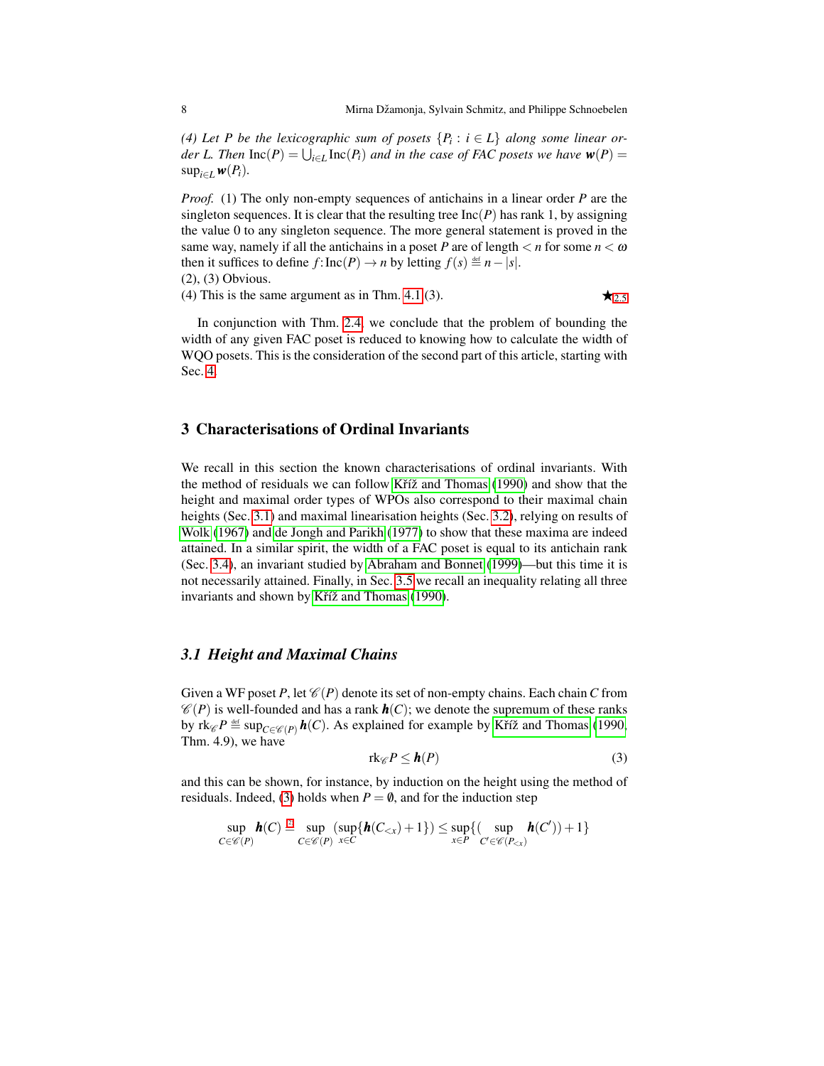*(4) Let P be the lexicographic sum of posets*  $\{P_i : i \in L\}$  *along some linear order L. Then*  $\text{Inc}(P) = \bigcup_{i \in L} \text{Inc}(P_i)$  *and in the case of FAC posets we have*  $w(P) =$ sup<sub>*i*∈*L*</sub>*w*( $P_i$ ).

*Proof.* (1) The only non-empty sequences of antichains in a linear order *P* are the singleton sequences. It is clear that the resulting tree  $Inc(P)$  has rank 1, by assigning the value 0 to any singleton sequence. The more general statement is proved in the same way, namely if all the antichains in a poset *P* are of length  $\lt n$  for some  $n \lt \omega$ then it suffices to define  $f: \text{Inc}(P) \to n$  by letting  $f(s) \stackrel{\text{def}}{=} n - |s|$ .

(2), (3) Obvious.

(4) This is the same argument as in Thm. [4.1.](#page-4-1)(3).  $\star_{2.5}$  $\star_{2.5}$  $\star_{2.5}$ 

In conjunction with Thm. [2.4,](#page-6-1) we conclude that the problem of bounding the width of any given FAC poset is reduced to knowing how to calculate the width of WQO posets. This is the consideration of the second part of this article, starting with Sec. [4.](#page-11-0)

# <span id="page-7-0"></span>3 Characterisations of Ordinal Invariants

We recall in this section the known characterisations of ordinal invariants. With the method of residuals we can follow Kříž and Thomas  $(1990)$  and show that the height and maximal order types of WPOs also correspond to their maximal chain heights (Sec. [3.1\)](#page-7-1) and maximal linearisation heights (Sec. [3.2\)](#page-8-0), relying on results of [Wolk](#page-24-9) [\(1967\)](#page-24-9) and [de Jongh and Parikh](#page-23-1) [\(1977\)](#page-23-1) to show that these maxima are indeed attained. In a similar spirit, the width of a FAC poset is equal to its antichain rank (Sec. [3.4\)](#page-9-1), an invariant studied by [Abraham and Bonnet](#page-23-3) [\(1999\)](#page-23-3)—but this time it is not necessarily attained. Finally, in Sec. [3.5](#page-10-0) we recall an inequality relating all three invariants and shown by Kříž and Thomas [\(1990\)](#page-24-4).

## <span id="page-7-1"></span>*3.1 Height and Maximal Chains*

Given a WF poset P, let  $\mathcal{C}(P)$  denote its set of non-empty chains. Each chain C from  $\mathcal{C}(P)$  is well-founded and has a rank  $h(C)$ ; we denote the supremum of these ranks by rk ${}_{\mathscr{C}}P \stackrel{\text{\tiny def}}{=} \sup_{C \in {}_{\mathscr{C}}(P)} \bm{h}(C)$ . As explained for example by Kříž and Thomas [\(1990,](#page-24-4) Thm. 4.9), we have

<span id="page-7-2"></span>
$$
\operatorname{rk}_{\mathscr{C}} P \leq \mathbf{h}(P) \tag{3}
$$

and this can be shown, for instance, by induction on the height using the method of residuals. Indeed, [\(3\)](#page-7-2) holds when  $P = \emptyset$ , and for the induction step

$$
\sup_{C \in \mathscr{C}(P)} \mathbf{h}(C) \stackrel{\text{(2)}}{=} \sup_{C \in \mathscr{C}(P)} (\sup \{ \mathbf{h}(C_{< x}) + 1 \}) \leq \sup_{x \in P} \{ (\sup_{C' \in \mathscr{C}(P_{< x})} \mathbf{h}(C')) + 1 \}
$$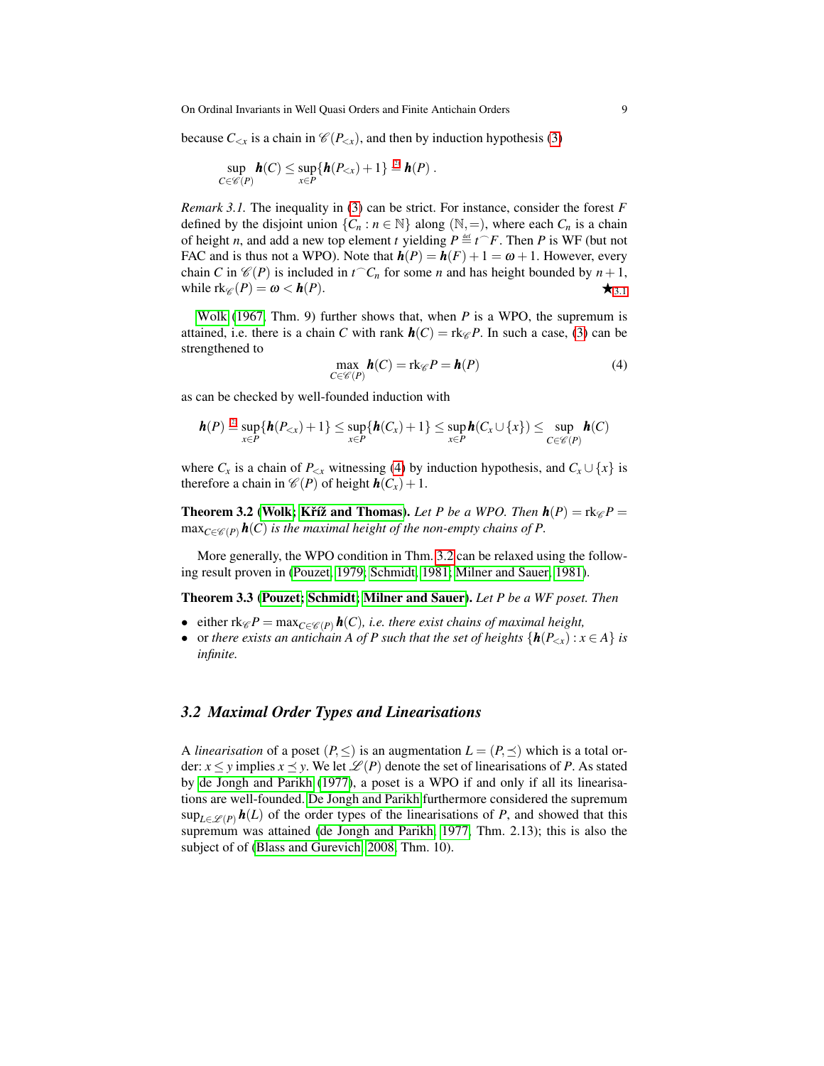because  $C_{< x}$  is a chain in  $\mathcal{C}(P_{< x})$ , and then by induction hypothesis [\(3\)](#page-7-2)

$$
\sup_{C\in\mathscr{C}(P)}\mathbf{h}(C)\leq \sup_{x\in P}\{\mathbf{h}(P_{< x})+1\}\stackrel{\circ}{=} \mathbf{h}(P)\ .
$$

*Remark 3.1.* The inequality in [\(3\)](#page-7-2) can be strict. For instance, consider the forest F defined by the disjoint union  $\{C_n : n \in \mathbb{N}\}\$  along  $(\mathbb{N}, =)$ , where each  $C_n$  is a chain of height *n*, and add a new top element *t* yielding  $P \stackrel{\text{def}}{=} t \stackrel{\frown}{F}$ . Then *P* is WF (but not FAC and is thus not a WPO). Note that  $h(P) = h(F) + 1 = \omega + 1$ . However, every chain *C* in  $\mathcal{C}(P)$  is included in  $t^{\frown}C_n$  for some *n* and has height bounded by  $n+1$ , while  $\operatorname{rk}_{\mathscr{C}}(P) = \omega < \mathbf{h}(P)$ .

[Wolk](#page-24-9) [\(1967,](#page-24-9) Thm. 9) further shows that, when *P* is a WPO, the supremum is attained, i.e. there is a chain *C* with rank  $h(C) = \text{rk}_{\mathscr{C}} P$ . In such a case, [\(3\)](#page-7-2) can be strengthened to

<span id="page-8-1"></span>
$$
\max_{C \in \mathcal{C}(P)} \mathbf{h}(C) = \text{rk}_{\mathcal{C}} P = \mathbf{h}(P) \tag{4}
$$

as can be checked by well-founded induction with

$$
\boldsymbol{h}(P) \stackrel{\text{\tiny (2)}}{=} \sup_{x \in P} \{ \boldsymbol{h}(P_{< x}) + 1 \} \leq \sup_{x \in P} \{ \boldsymbol{h}(C_x) + 1 \} \leq \sup_{x \in P} \boldsymbol{h}(C_x \cup \{x\}) \leq \sup_{C \in \mathscr{C}(P)} \boldsymbol{h}(C)
$$

where  $C_x$  is a chain of  $P_{< x}$  witnessing [\(4\)](#page-8-1) by induction hypothesis, and  $C_x \cup \{x\}$  is therefore a chain in  $\mathcal{C}(P)$  of height  $h(C_x) + 1$ .

**Theorem 3.2 [\(Wolk;](#page-24-9) Kříž and Thomas).** Let P be a WPO. Then  $h(P) = \text{rk}_{\mathcal{C}}P =$  $\max_{C \in \mathcal{C}(P)} \mathbf{h}(C)$  *is the maximal height of the non-empty chains of P.* 

More generally, the WPO condition in Thm. [3.2](#page-5-0) can be relaxed using the following result proven in [\(Pouzet, 1979;](#page-24-10) [Schmidt, 1981;](#page-24-11) [Milner and Sauer, 1981\)](#page-24-12).

Theorem 3.3 [\(Pouzet;](#page-24-10) [Schmidt;](#page-24-11) [Milner and Sauer\)](#page-24-12). *Let P be a WF poset. Then*

- either  $rk_{\mathscr{C}}P = \max_{C \in \mathscr{C}(P)} h(C)$ *, i.e. there exist chains of maximal height,*
- or *there exists an antichain A of P such that the set of heights*  $\{h(P_{\leq x}): x \in A\}$  *is infinite.*

## <span id="page-8-0"></span>*3.2 Maximal Order Types and Linearisations*

A *linearisation* of a poset  $(P, \leq)$  is an augmentation  $L = (P, \preceq)$  which is a total order:  $x \le y$  implies  $x \le y$ . We let  $\mathcal{L}(P)$  denote the set of linearisations of P. As stated by [de Jongh and Parikh](#page-23-1) [\(1977\)](#page-23-1), a poset is a WPO if and only if all its linearisations are well-founded. [De Jongh and Parikh](#page-23-1) furthermore considered the supremum  $\sup_{L\in\mathscr{L}(P)} h(L)$  of the order types of the linearisations of *P*, and showed that this supremum was attained [\(de Jongh and Parikh, 1977,](#page-23-1) Thm. 2.13); this is also the subject of of [\(Blass and Gurevich, 2008,](#page-23-2) Thm. 10).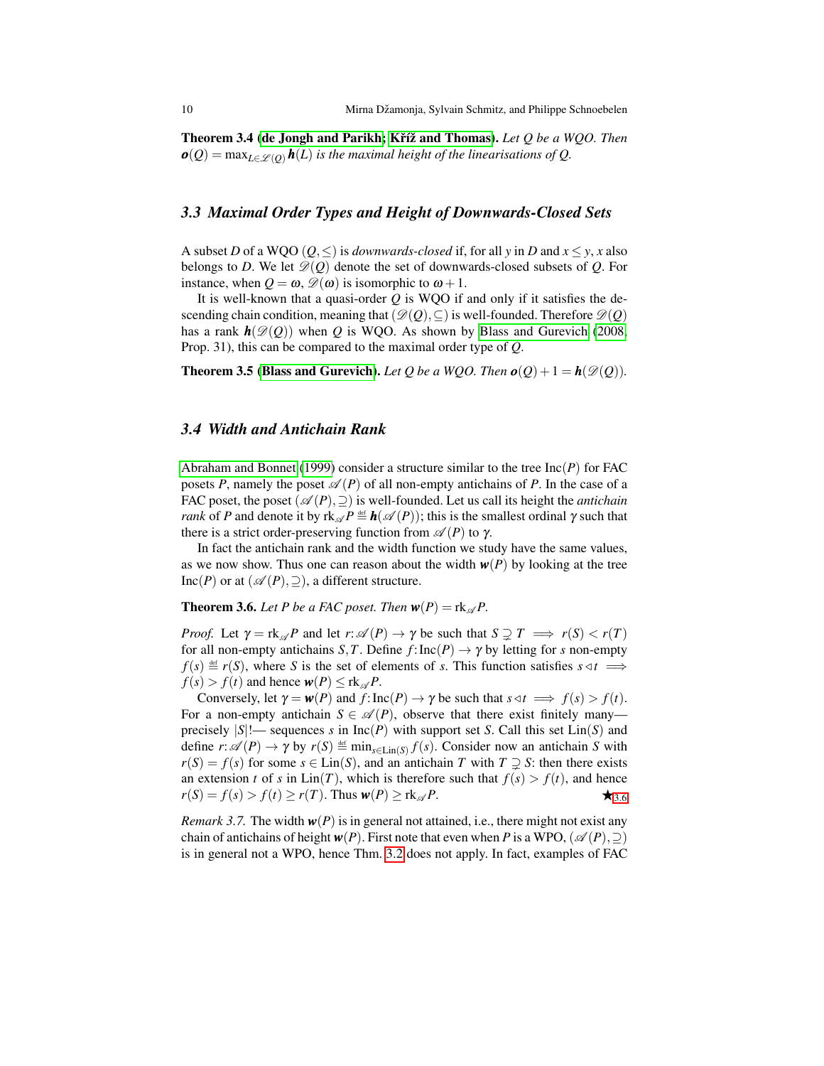Theorem 3.4 [\(de Jongh and Parikh;](#page-23-1) Kříž and Thomas). Let Q be a WQO. Then  $o(Q) = \max_{L \in \mathcal{L}(Q)} h(L)$  *is the maximal height of the linearisations of Q.* 

## *3.3 Maximal Order Types and Height of Downwards-Closed Sets*

A subset *D* of a WQO ( $Q$ ,  $\leq$ ) is *downwards-closed* if, for all *y* in *D* and  $x \leq y$ , *x* also belongs to *D*. We let  $\mathcal{D}(Q)$  denote the set of downwards-closed subsets of *Q*. For instance, when  $Q = \omega$ ,  $\mathscr{D}(\omega)$  is isomorphic to  $\omega + 1$ .

It is well-known that a quasi-order *Q* is WQO if and only if it satisfies the descending chain condition, meaning that  $(\mathscr{D}(Q), \subseteq)$  is well-founded. Therefore  $\mathscr{D}(Q)$ has a rank  $h(\mathcal{D}(Q))$  when *Q* is WQO. As shown by [Blass and Gurevich](#page-23-2) [\(2008,](#page-23-2) Prop. 31), this can be compared to the maximal order type of *Q*.

**Theorem 3.5 [\(Blass and Gurevich\)](#page-23-2).** *Let Q be a WQO. Then*  $o(Q) + 1 = h(\mathcal{D}(Q))$ *.* 

## <span id="page-9-1"></span>*3.4 Width and Antichain Rank*

[Abraham and Bonnet](#page-23-3) [\(1999\)](#page-23-3) consider a structure similar to the tree Inc(*P*) for FAC posets *P*, namely the poset  $\mathcal{A}(P)$  of all non-empty antichains of *P*. In the case of a FAC poset, the poset  $(\mathscr{A}(P), \supseteq)$  is well-founded. Let us call its height the *antichain rank* of *P* and denote it by  $rk_{\mathscr{A}}P \stackrel{\text{def}}{=} h(\mathscr{A}(P));$  this is the smallest ordinal  $\gamma$  such that there is a strict order-preserving function from  $\mathscr{A}(P)$  to  $\gamma$ .

In fact the antichain rank and the width function we study have the same values, as we now show. Thus one can reason about the width  $w(P)$  by looking at the tree Inc(*P*) or at  $({\mathscr{A}}(P), \supseteq)$ , a different structure.

<span id="page-9-2"></span>**Theorem 3.6.** Let P be a FAC poset. Then  $w(P) = \text{rk}_{\mathcal{A}} P$ .

*Proof.* Let  $\gamma = \text{rk}_{\mathscr{A}} P$  and let  $r: \mathscr{A}(P) \to \gamma$  be such that  $S \supseteq T \implies r(S) < r(T)$ for all non-empty antichains *S*, *T*. Define  $f: Inc(P) \rightarrow \gamma$  by letting for *s* non-empty  $f(s) \triangleq r(S)$ , where *S* is the set of elements of *s*. This function satisfies  $s \triangleleft t \implies$  $f(s) > f(t)$  and hence  $w(P) \leq \text{rk}_{\mathscr{A}} P$ .

Conversely, let  $\gamma = w(P)$  and  $f: \text{Inc}(P) \to \gamma$  be such that  $s \triangleleft t \implies f(s) > f(t)$ . For a non-empty antichain  $S \in \mathcal{A}(P)$ , observe that there exist finitely many precisely  $|S|$ !— sequences *s* in  $Inc(P)$  with support set *S*. Call this set  $Lin(S)$  and define  $r: \mathscr{A}(P) \to \gamma$  by  $r(S) \stackrel{\text{def}}{=} \min_{s \in \text{Lin}(S)} f(s)$ . Consider now an antichain *S* with  $r(S) = f(s)$  for some  $s \in \text{Lin}(S)$ , and an antichain *T* with  $T \supsetneq S$ : then there exists an extension *t* of *s* in  $\text{Lin}(T)$ , which is therefore such that  $f(s) > f(t)$ , and hence  $r(S) = f(s) > f(t) \ge r(T)$ . Thus  $w(P) \ge r k_{\mathcal{A}} P$ .

<span id="page-9-0"></span>*Remark 3.7.* The width  $w(P)$  is in general not attained, i.e., there might not exist any chain of antichains of height  $w(P)$ . First note that even when *P* is a WPO,  $(\mathscr{A}(P), \supseteq)$ is in general not a WPO, hence Thm. [3.2](#page-5-0) does not apply. In fact, examples of FAC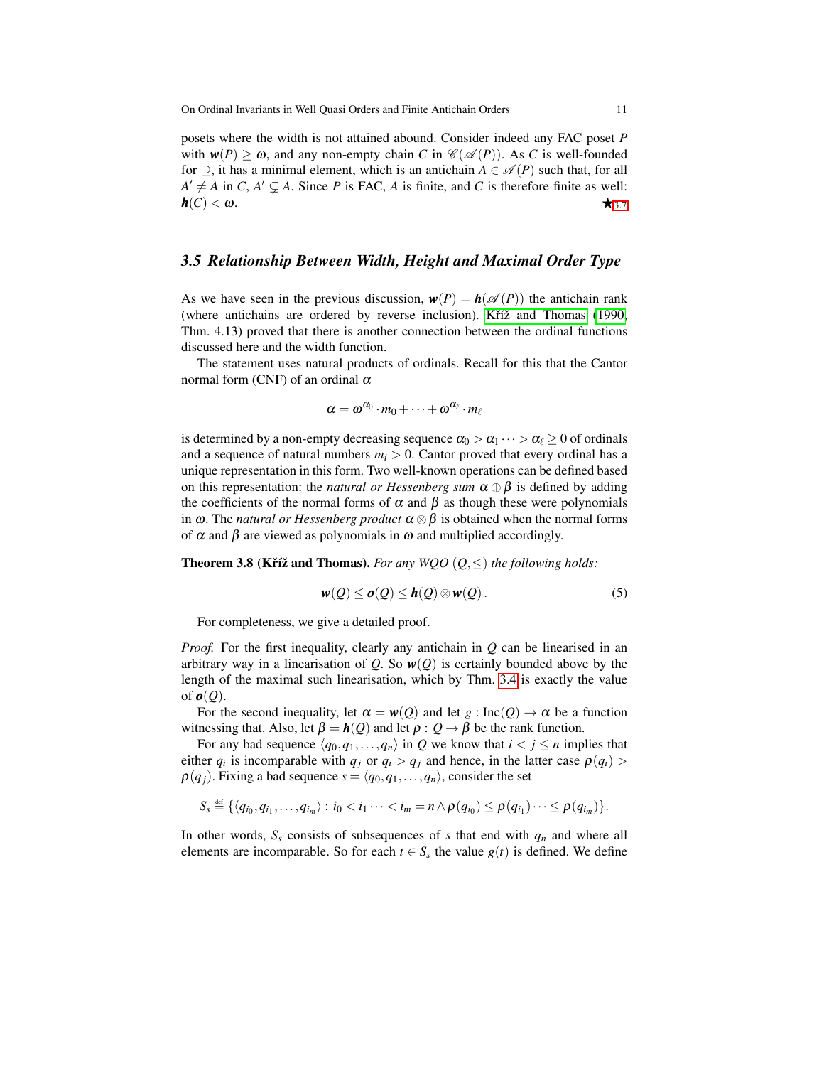posets where the width is not attained abound. Consider indeed any FAC poset *P* with  $w(P) \ge \omega$ , and any non-empty chain *C* in  $\mathcal{C}(\mathcal{A}(P))$ . As *C* is well-founded for  $\supseteq$ , it has a minimal element, which is an antichain  $A \in \mathcal{A}(P)$  such that, for all  $A' \neq A$  in *C*,  $A' \subseteq A$ . Since *P* is FAC, *A* is finite, and *C* is therefore finite as well:  $h(C) < \omega$ .

## <span id="page-10-0"></span>*3.5 Relationship Between Width, Height and Maximal Order Type*

As we have seen in the previous discussion,  $w(P) = h(\mathscr{A}(P))$  the antichain rank (where antichains are ordered by reverse inclusion). K $\check{r}$  and Thomas [\(1990,](#page-24-4) Thm. 4.13) proved that there is another connection between the ordinal functions discussed here and the width function.

The statement uses natural products of ordinals. Recall for this that the Cantor normal form (CNF) of an ordinal  $\alpha$ 

$$
\alpha = \omega^{\alpha_0} \cdot m_0 + \cdots + \omega^{\alpha_\ell} \cdot m_\ell
$$

is determined by a non-empty decreasing sequence  $\alpha_0 > \alpha_1 \cdots > \alpha_\ell \geq 0$  of ordinals and a sequence of natural numbers  $m_i > 0$ . Cantor proved that every ordinal has a unique representation in this form. Two well-known operations can be defined based on this representation: the *natural or Hessenberg sum*  $\alpha \oplus \beta$  is defined by adding the coefficients of the normal forms of  $\alpha$  and  $\beta$  as though these were polynomials in ω. The *natural or Hessenberg product* α ⊗β is obtained when the normal forms of  $\alpha$  and  $\beta$  are viewed as polynomials in  $\omega$  and multiplied accordingly.

<span id="page-10-1"></span>**Theorem 3.8 (Kříž and Thomas).** For any WQO  $(Q, \leq)$  the following holds:

<span id="page-10-2"></span>
$$
w(Q) \le o(Q) \le h(Q) \otimes w(Q).
$$
 (5)

For completeness, we give a detailed proof.

*Proof.* For the first inequality, clearly any antichain in *Q* can be linearised in an arbitrary way in a linearisation of *Q*. So  $w(Q)$  is certainly bounded above by the length of the maximal such linearisation, which by Thm. [3.4](#page-6-1) is exactly the value of  $o(Q)$ .

For the second inequality, let  $\alpha = w(Q)$  and let  $g : Inc(Q) \to \alpha$  be a function witnessing that. Also, let  $\beta = h(Q)$  and let  $\rho : Q \rightarrow \beta$  be the rank function.

For any bad sequence  $\langle q_0, q_1, \ldots, q_n \rangle$  in *Q* we know that  $i < j \le n$  implies that either  $q_i$  is incomparable with  $q_j$  or  $q_i > q_j$  and hence, in the latter case  $\rho(q_i) >$  $\rho(q_i)$ . Fixing a bad sequence  $s = \langle q_0, q_1, \ldots, q_n \rangle$ , consider the set

$$
S_s \stackrel{\text{\tiny def}}{=} \{ \langle q_{i_0}, q_{i_1}, \ldots, q_{i_m} \rangle : i_0 < i_1 \cdots < i_m = n \land \rho(q_{i_0}) \leq \rho(q_{i_1}) \cdots \leq \rho(q_{i_m}) \}.
$$

In other words,  $S<sub>s</sub>$  consists of subsequences of *s* that end with  $q<sub>n</sub>$  and where all elements are incomparable. So for each  $t \in S_s$  the value  $g(t)$  is defined. We define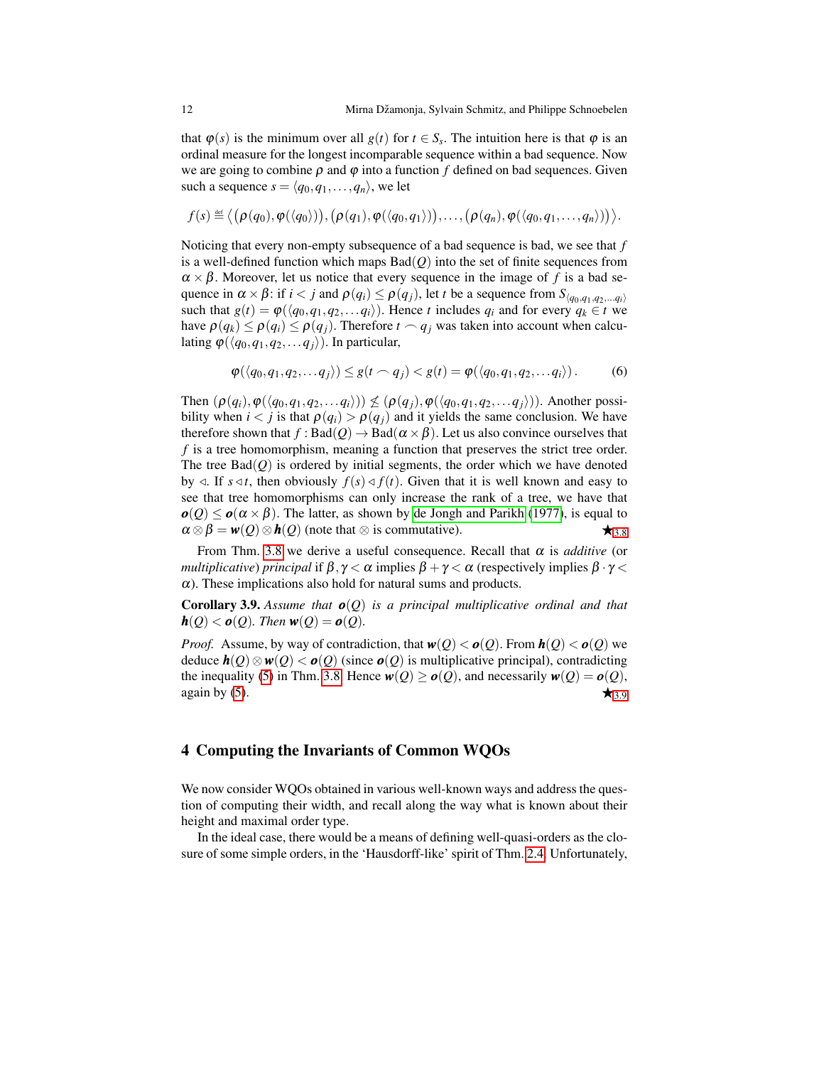that  $\varphi(s)$  is the minimum over all  $g(t)$  for  $t \in S_s$ . The intuition here is that  $\varphi$  is an ordinal measure for the longest incomparable sequence within a bad sequence. Now we are going to combine  $\rho$  and  $\varphi$  into a function  $f$  defined on bad sequences. Given such a sequence  $s = \langle q_0, q_1, \ldots, q_n \rangle$ , we let

 $f(s) \stackrel{\text{\tiny def}}{=} \big\langle \big(\boldsymbol{\rho}(q_0),\boldsymbol{\phi}(\langle q_0 \rangle)\big),\big(\boldsymbol{\rho}(q_1),\boldsymbol{\phi}(\langle q_0,q_1 \rangle)\big),\dots,\big(\boldsymbol{\rho}(q_n),\boldsymbol{\phi}(\langle q_0,q_1,\dots,q_n \rangle)\big)\big\rangle.$ 

Noticing that every non-empty subsequence of a bad sequence is bad, we see that *f* is a well-defined function which maps  $Bad(O)$  into the set of finite sequences from  $\alpha \times \beta$ . Moreover, let us notice that every sequence in the image of f is a bad sequence in  $\alpha \times \beta$ : if  $i < j$  and  $\rho(q_i) \leq \rho(q_j)$ , let *t* be a sequence from  $S_{(q_0, q_1, q_2, \ldots, q_i)}$ such that  $g(t) = \varphi(\langle q_0, q_1, q_2, \ldots, q_i \rangle)$ . Hence *t* includes  $q_i$  and for every  $q_k \in t$  we have  $\rho(q_k) \leq \rho(q_i) \leq \rho(q_i)$ . Therefore  $t \sim q_i$  was taken into account when calculating  $\varphi$ ( $\langle q_0, q_1, q_2, \ldots, q_i \rangle$ ). In particular,

$$
\varphi(\langle q_0, q_1, q_2, \ldots q_j \rangle) \leq g(t \frown q_j) < g(t) = \varphi(\langle q_0, q_1, q_2, \ldots q_i \rangle). \tag{6}
$$

Then  $(\rho(q_i), \phi(\langle q_0, q_1, q_2, \ldots, q_i \rangle)) \not\leq (\rho(q_i), \phi(\langle q_0, q_1, q_2, \ldots, q_i \rangle))$ . Another possibility when  $i < j$  is that  $\rho(q_i) > \rho(q_i)$  and it yields the same conclusion. We have therefore shown that  $f : \text{Bad}(Q) \to \text{Bad}(\alpha \times \beta)$ . Let us also convince ourselves that *f* is a tree homomorphism, meaning a function that preserves the strict tree order. The tree  $Bad(Q)$  is ordered by initial segments, the order which we have denoted by  $\triangleleft$ . If  $s \triangleleft t$ , then obviously  $f(s) \triangleleft f(t)$ . Given that it is well known and easy to see that tree homomorphisms can only increase the rank of a tree, we have that  $o(Q) < o(\alpha \times \beta)$ . The latter, as shown by [de Jongh and Parikh](#page-23-1) [\(1977\)](#page-23-1), is equal to  $\alpha \otimes \beta = w(Q) \otimes h(Q)$  (note that  $\otimes$  is commutative).  $\star$ <sub>[3](#page-10-1).8</sub>

<span id="page-11-1"></span>From Thm. [3.8](#page-10-1) we derive a useful consequence. Recall that  $\alpha$  is *additive* (or *multiplicative*) *principal* if  $\beta$ ,  $\gamma < \alpha$  implies  $\beta + \gamma < \alpha$  (respectively implies  $\beta \cdot \gamma < \alpha$ )  $\alpha$ ). These implications also hold for natural sums and products.

**Corollary 3.9.** Assume that  $o(Q)$  is a principal multiplicative ordinal and that  $h(Q) < o(Q)$ *. Then*  $w(Q) = o(Q)$ *.* 

*Proof.* Assume, by way of contradiction, that  $w(Q) < o(Q)$ . From  $h(Q) < o(Q)$  we deduce  $h(Q) ⊗ w(Q) < o(Q)$  (since  $o(Q)$ ) is multiplicative principal), contradicting the inequality [\(5\)](#page-10-2) in Thm. [3.8.](#page-10-1) Hence  $w(Q) \ge o(Q)$ , and necessarily  $w(Q) = o(Q)$ , again by [\(5\)](#page-10-2).  $\star_{3.9}$  $\star_{3.9}$  $\star_{3.9}$ 

# <span id="page-11-0"></span>4 Computing the Invariants of Common WQOs

We now consider WQOs obtained in various well-known ways and address the question of computing their width, and recall along the way what is known about their height and maximal order type.

In the ideal case, there would be a means of defining well-quasi-orders as the closure of some simple orders, in the 'Hausdorff-like' spirit of Thm. [2.4.](#page-6-1) Unfortunately,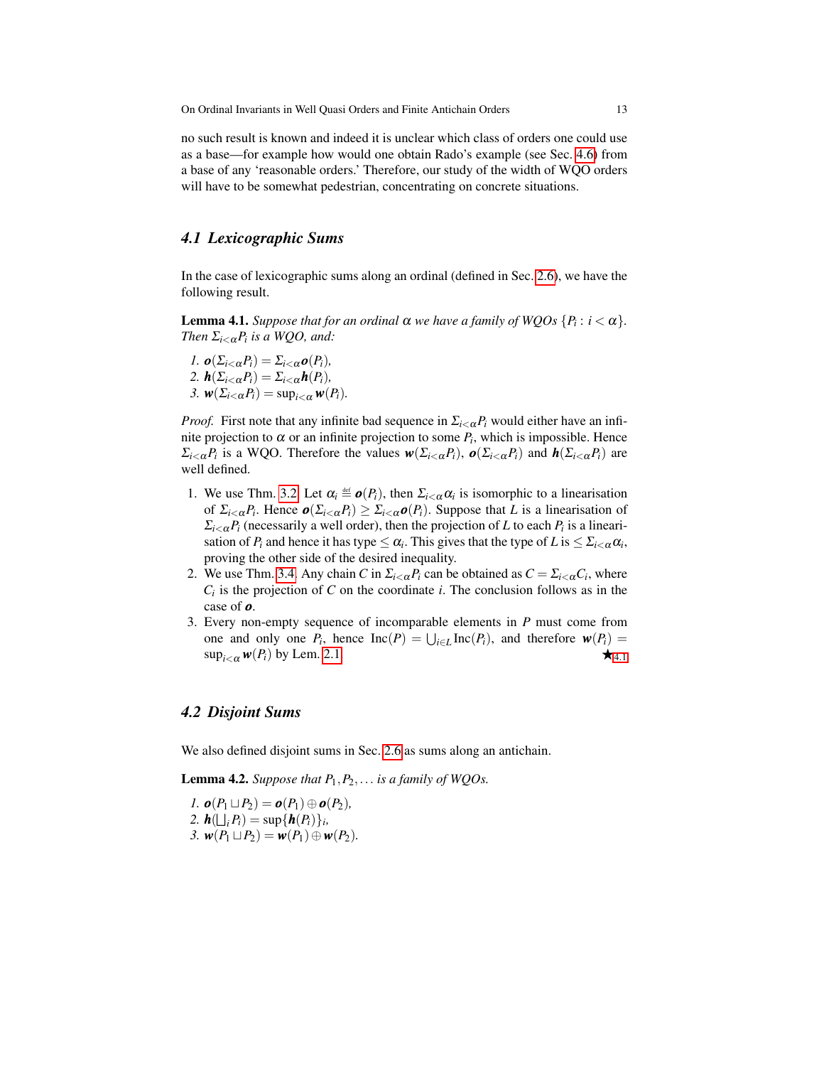no such result is known and indeed it is unclear which class of orders one could use as a base—for example how would one obtain Rado's example (see Sec. [4.6\)](#page-22-0) from a base of any 'reasonable orders.' Therefore, our study of the width of WQO orders will have to be somewhat pedestrian, concentrating on concrete situations.

# *4.1 Lexicographic Sums*

In the case of lexicographic sums along an ordinal (defined in Sec. [2.6\)](#page-6-0), we have the following result.

**Lemma 4.1.** *Suppose that for an ordinal*  $\alpha$  *we have a family of WQOs*  $\{P_i : i < \alpha\}$ *. Then*  $\Sigma_{i < \alpha} P_i$  *is a WQO, and:* 

1. 
$$
\mathbf{o}(\Sigma_{i<\alpha}P_i) = \Sigma_{i<\alpha}\mathbf{o}(P_i),
$$
  
\n2.  $\mathbf{h}(\Sigma_{i<\alpha}P_i) = \Sigma_{i<\alpha}\mathbf{h}(P_i),$   
\n3.  $\mathbf{w}(\Sigma_{i<\alpha}P_i) = \sup_{i<\alpha}\mathbf{w}(P_i).$ 

*Proof.* First note that any infinite bad sequence in  $\Sigma_{i\leq \alpha}P_i$  would either have an infinite projection to  $\alpha$  or an infinite projection to some  $P_i$ , which is impossible. Hence  $\Sigma_{i<\alpha}P_i$  is a WQO. Therefore the values  $w(\Sigma_{i<\alpha}P_i)$ ,  $o(\Sigma_{i<\alpha}P_i)$  and  $h(\Sigma_{i<\alpha}P_i)$  are well defined.

- 1. We use Thm. [3.2.](#page-5-0) Let  $\alpha_i \stackrel{\text{def}}{=} \mathbf{0}(P_i)$ , then  $\Sigma_{i < \alpha} \alpha_i$  is isomorphic to a linearisation of  $\Sigma_{i\leq \alpha}P_i$ . Hence  $o(\Sigma_{i\leq \alpha}P_i) \geq \Sigma_{i\leq \alpha}o(P_i)$ . Suppose that *L* is a linearisation of  $\sum_{i \leq \alpha} P_i$  (necessarily a well order), then the projection of *L* to each  $P_i$  is a linearisation of  $P_i$  and hence it has type  $\leq \alpha_i$ . This gives that the type of  $L$  is  $\leq \sum_{i < \alpha} \alpha_i$ , proving the other side of the desired inequality.
- 2. We use Thm. [3.4.](#page-6-1) Any chain *C* in  $\sum_{i < \alpha} P_i$  can be obtained as  $C = \sum_{i < \alpha} C_i$ , where  $C_i$  is the projection of  $C$  on the coordinate  $i$ . The conclusion follows as in the case of *o*.
- 3. Every non-empty sequence of incomparable elements in *P* must come from one and only one  $P_i$ , hence  $\text{Inc}(P) = \bigcup_{i \in L} \text{Inc}(P_i)$ , and therefore  $w(P_i) =$  $\sup_{i \leq \alpha} w(P_i)$  by Lem. [2.1.](#page-4-1)  $\star$

## *4.2 Disjoint Sums*

We also defined disjoint sums in Sec. [2.6](#page-6-0) as sums along an antichain.

**Lemma 4.2.** *Suppose that*  $P_1$ ,  $P_2$ ,... *is a family of WQOs.* 

 $I. \boldsymbol{o}(P_1 \sqcup P_2) = \boldsymbol{o}(P_1) \oplus \boldsymbol{o}(P_2),$ 2.  $h(\bigsqcup_i P_i) = \sup\{h(P_i)\}_i,$ *3.*  $w(P_1 \sqcup P_2) = w(P_1) \oplus w(P_2)$ .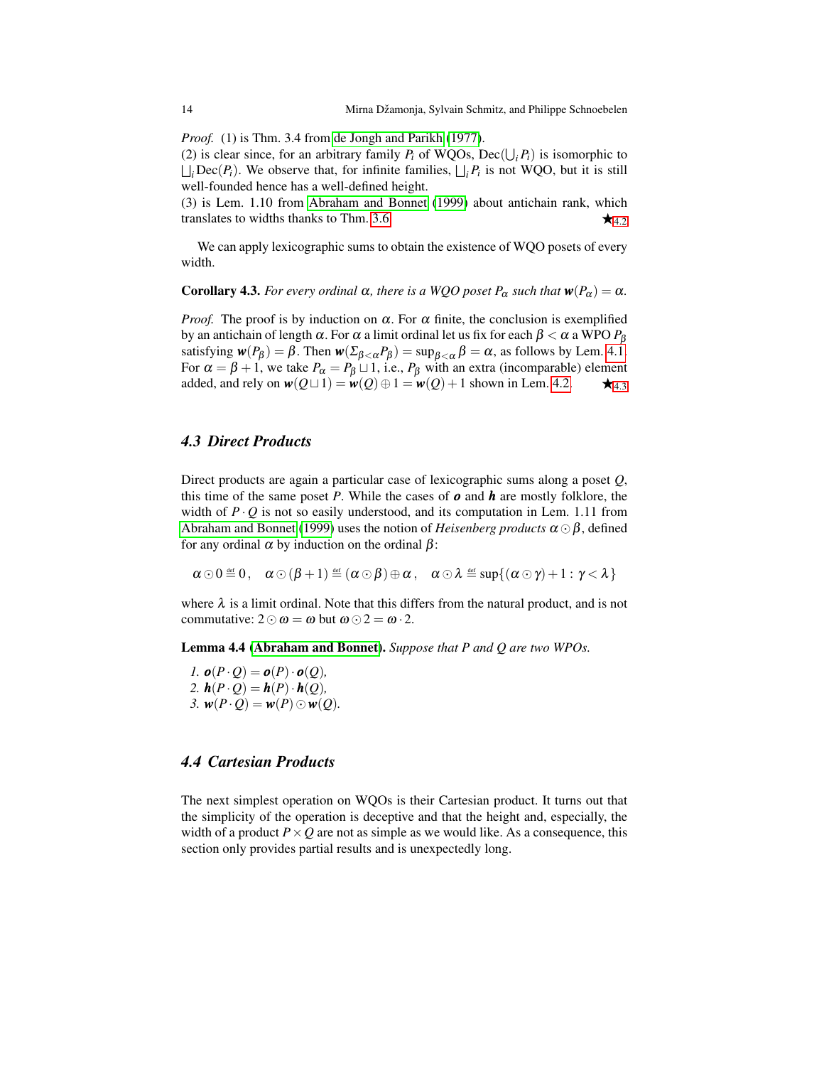*Proof.* (1) is Thm. 3.4 from [de Jongh and Parikh](#page-23-1) [\(1977\)](#page-23-1).

(2) is clear since, for an arbitrary family  $P_i$  of WQOs, Dec( $\bigcup_i P_i$ ) is isomorphic to  $\bigsqcup_i \text{Dec}(P_i)$ . We observe that, for infinite families,  $\bigsqcup_i P_i$  is not WQO, but it is still well-founded hence has a well-defined height.

(3) is Lem. 1.10 from [Abraham and Bonnet](#page-23-3) [\(1999\)](#page-23-3) about antichain rank, which translates to widths thanks to Thm. [3.6.](#page-9-2)  $\star$   $\star$  [4](#page-5-0).2

We can apply lexicographic sums to obtain the existence of WQO posets of every width.

**Corollary 4.3.** *For every ordinal*  $\alpha$ *, there is a WQO poset*  $P_{\alpha}$  *such that*  $\mathbf{w}(P_{\alpha}) = \alpha$ *.* 

*Proof.* The proof is by induction on  $\alpha$ . For  $\alpha$  finite, the conclusion is exemplified by an antichain of length α. For α a limit ordinal let us fix for each β < α a WPO *P*<sup>β</sup> satisfying  $w(P_\beta) = \beta$ . Then  $w(\Sigma_{\beta < \alpha} P_\beta) = \sup_{\beta < \alpha} \beta = \alpha$ , as follows by Lem. [4.1.](#page-4-1) For  $\alpha = \beta + 1$ , we take  $P_{\alpha} = P_{\beta} \sqcup 1$ , i.e.,  $P_{\beta}$  with an extra (incomparable) element added, and rely on  $w(Q \sqcup 1) = w(Q) \oplus 1 = w(Q) + 1$  shown in Lem. [4.2.](#page-5-0)  $\star_{4,3}$  $\star_{4,3}$  $\star_{4,3}$ 

# *4.3 Direct Products*

Direct products are again a particular case of lexicographic sums along a poset *Q*, this time of the same poset *P*. While the cases of *o* and *h* are mostly folklore, the width of  $P \cdot Q$  is not so easily understood, and its computation in Lem. 1.11 from [Abraham and Bonnet](#page-23-3) [\(1999\)](#page-23-3) uses the notion of *Heisenberg products*  $\alpha \odot \beta$ , defined for any ordinal  $\alpha$  by induction on the ordinal  $\beta$ :

$$
\alpha \odot 0 \stackrel{\text{\tiny def}}{=} 0\,, \quad \alpha \odot (\beta + 1) \stackrel{\text{\tiny def}}{=} (\alpha \odot \beta) \oplus \alpha\,, \quad \alpha \odot \lambda \stackrel{\text{\tiny def}}{=} \sup\{(\alpha \odot \gamma) + 1 : \gamma < \lambda\}
$$

where  $\lambda$  is a limit ordinal. Note that this differs from the natural product, and is not commutative:  $2 \odot \omega = \omega$  but  $\omega \odot 2 = \omega \cdot 2$ .

Lemma 4.4 [\(Abraham and Bonnet\)](#page-23-3). *Suppose that P and Q are two WPOs.*

 $I. \boldsymbol{o}(P \cdot Q) = \boldsymbol{o}(P) \cdot \boldsymbol{o}(Q)$ , 2.  $h(P \cdot Q) = h(P) \cdot h(Q)$ , *3.*  $w(P \cdot Q) = w(P) \odot w(Q)$ .

# <span id="page-13-0"></span>*4.4 Cartesian Products*

The next simplest operation on WQOs is their Cartesian product. It turns out that the simplicity of the operation is deceptive and that the height and, especially, the width of a product  $P \times Q$  are not as simple as we would like. As a consequence, this section only provides partial results and is unexpectedly long.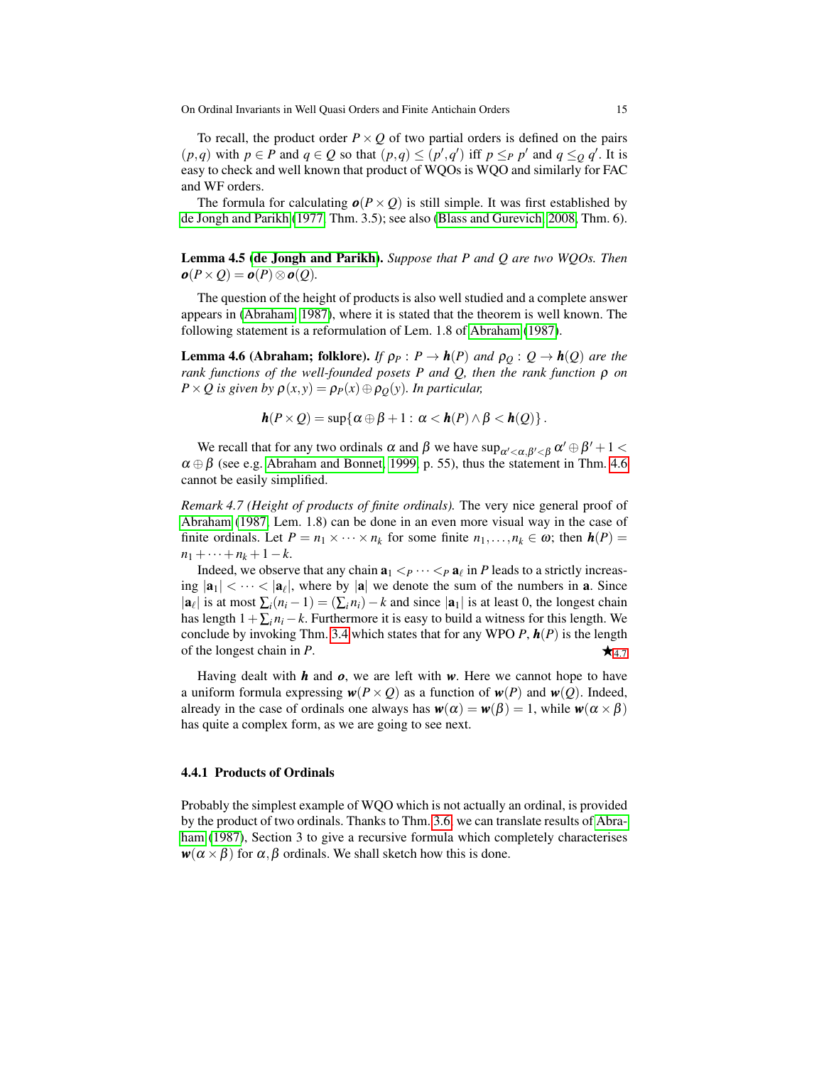To recall, the product order  $P \times Q$  of two partial orders is defined on the pairs  $(p,q)$  with  $p \in P$  and  $q \in Q$  so that  $(p,q) \leq (p',q')$  iff  $p \leq_P p'$  and  $q \leq_Q q'$ . It is easy to check and well known that product of WQOs is WQO and similarly for FAC and WF orders.

The formula for calculating  $o(P \times Q)$  is still simple. It was first established by [de Jongh and Parikh](#page-23-1) [\(1977,](#page-23-1) Thm. 3.5); see also [\(Blass and Gurevich, 2008,](#page-23-2) Thm. 6).

Lemma 4.5 [\(de Jongh and Parikh\)](#page-23-1). *Suppose that P and Q are two WQOs. Then*  $o(P \times Q) = o(P) \otimes o(Q)$ .

The question of the height of products is also well studied and a complete answer appears in [\(Abraham, 1987\)](#page-23-6), where it is stated that the theorem is well known. The following statement is a reformulation of Lem. 1.8 of [Abraham](#page-23-6) [\(1987\)](#page-23-6).

**Lemma 4.6 (Abraham; folklore).** *If*  $\rho_P$  :  $P \to h(P)$  *and*  $\rho_Q$  :  $Q \to h(Q)$  *are the rank functions of the well-founded posets P and Q, then the rank function* ρ *on P* × *Q* is given by  $\rho(x, y) = \rho_P(x) \oplus \rho_O(y)$ *. In particular,* 

$$
\mathbf{h}(P\times Q)=\sup\{\alpha\oplus\beta+1:\alpha<\mathbf{h}(P)\wedge\beta<\mathbf{h}(Q)\}.
$$

We recall that for any two ordinals  $\alpha$  and  $\beta$  we have  $\sup_{\alpha'<\alpha,\beta'<\beta} \alpha' \oplus \beta' + 1 <$  $\alpha \oplus \beta$  (see e.g. [Abraham and Bonnet, 1999,](#page-23-3) p. 55), thus the statement in Thm. [4.6](#page-9-2) cannot be easily simplified.

*Remark 4.7 (Height of products of finite ordinals).* The very nice general proof of [Abraham](#page-23-6) [\(1987,](#page-23-6) Lem. 1.8) can be done in an even more visual way in the case of finite ordinals. Let  $P = n_1 \times \cdots \times n_k$  for some finite  $n_1, \ldots, n_k \in \omega$ ; then  $h(P) =$  $n_1 + \cdots + n_k + 1 - k$ .

Indeed, we observe that any chain  $\mathbf{a}_1 <_P \cdots <_P \mathbf{a}_\ell$  in *P* leads to a strictly increasing  $|\mathbf{a}_1| < \cdots < |\mathbf{a}_\ell|$ , where by  $|\mathbf{a}|$  we denote the sum of the numbers in **a**. Since  $|\mathbf{a}_{\ell}|$  is at most  $\sum_{i}(n_{i}-1) = (\sum_{i}n_{i})-k$  and since  $|\mathbf{a}_{1}|$  is at least 0, the longest chain has length  $1+\sum_i n_i - k$ . Furthermore it is easy to build a witness for this length. We conclude by invoking Thm. [3.4](#page-6-1) which states that for any WPO *P*, *h*(*P*) is the length of the longest chain in *P*.  $\star$ [4](#page-9-0).7

Having dealt with *h* and *o*, we are left with *w*. Here we cannot hope to have a uniform formula expressing  $w(P \times Q)$  as a function of  $w(P)$  and  $w(Q)$ . Indeed, already in the case of ordinals one always has  $w(\alpha) = w(\beta) = 1$ , while  $w(\alpha \times \beta)$ has quite a complex form, as we are going to see next.

#### 4.4.1 Products of Ordinals

Probably the simplest example of WQO which is not actually an ordinal, is provided by the product of two ordinals. Thanks to Thm. [3.6,](#page-9-2) we can translate results of [Abra](#page-23-6)[ham](#page-23-6) [\(1987\)](#page-23-6), Section 3 to give a recursive formula which completely characterises  $w(\alpha \times \beta)$  for  $\alpha, \beta$  ordinals. We shall sketch how this is done.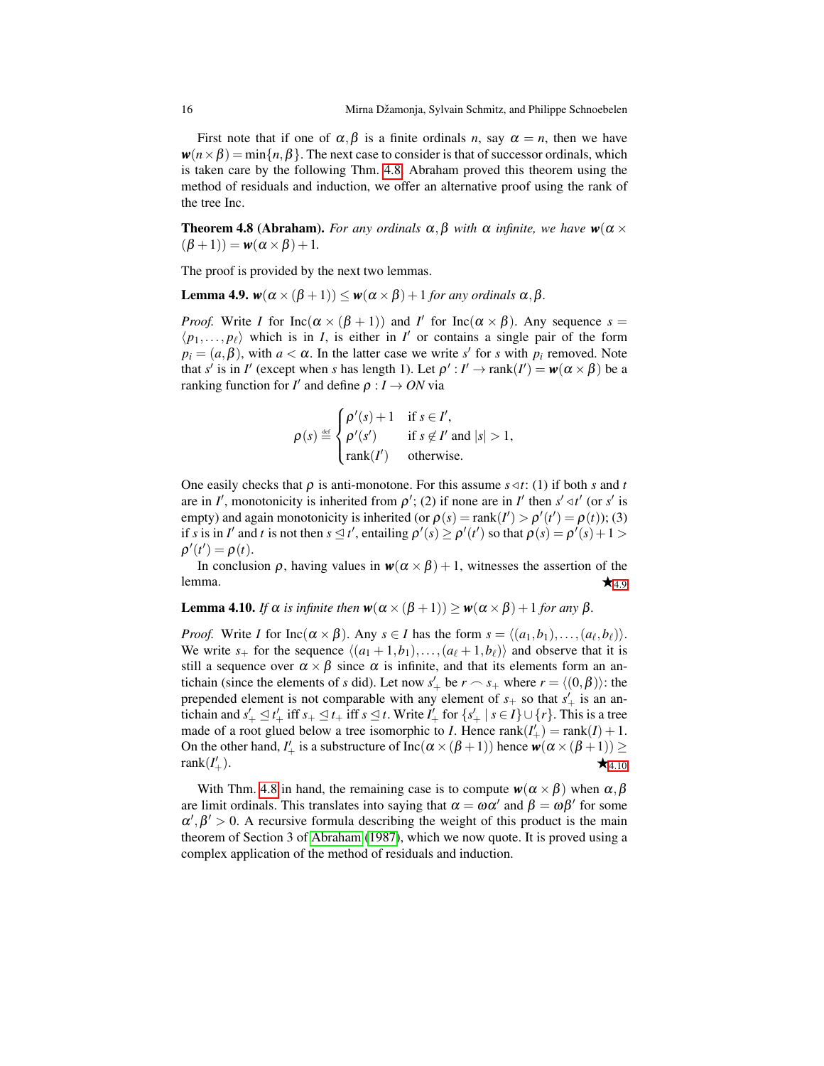First note that if one of  $\alpha, \beta$  is a finite ordinals *n*, say  $\alpha = n$ , then we have  $w(n \times \beta) = \min\{n, \beta\}$ . The next case to consider is that of successor ordinals, which is taken care by the following Thm. [4.8.](#page-10-1) Abraham proved this theorem using the method of residuals and induction, we offer an alternative proof using the rank of the tree Inc.

**Theorem 4.8 (Abraham).** *For any ordinals*  $\alpha, \beta$  *with*  $\alpha$  *infinite, we have*  $w(\alpha \times \beta)$  $(\beta + 1)$ ) =  $w(\alpha \times \beta) + 1$ .

The proof is provided by the next two lemmas.

**Lemma 4.9.**  $w(α × (β + 1)) ≤ w(α × β) + 1$  *for any ordinals* α, β.

*Proof.* Write *I* for Inc( $\alpha \times (\beta + 1)$ ) and *I'* for Inc( $\alpha \times \beta$ ). Any sequence  $s =$  $\langle p_1,..., p_\ell \rangle$  which is in *I*, is either in *I'* or contains a single pair of the form  $p_i = (a, \beta)$ , with  $a < \alpha$ . In the latter case we write *s*' for *s* with  $p_i$  removed. Note that *s'* is in *I'* (except when *s* has length 1). Let  $\rho' : I' \to \text{rank}(I') = \mathbf{w}(\alpha \times \beta)$  be a ranking function for *I'* and define  $\rho: I \to ON$  via

$$
\rho(s) \stackrel{\text{def}}{=} \begin{cases} \rho'(s) + 1 & \text{if } s \in I', \\ \rho'(s') & \text{if } s \notin I' \text{ and } |s| > 1, \\ \text{rank}(I') & \text{otherwise.} \end{cases}
$$

One easily checks that  $\rho$  is anti-monotone. For this assume  $s \triangleleft t$ : (1) if both *s* and *t* are in *I'*, monotonicity is inherited from  $\rho'$ ; (2) if none are in *I'* then  $s' \triangleleft t'$  (or  $s'$  is empty) and again monotonicity is inherited (or  $\rho(s) = \text{rank}(I') > \rho'(t') = \rho(t)$ ); (3) if *s* is in *I'* and *t* is not then  $s \le t'$ , entailing  $\rho'(s) \ge \rho'(t')$  so that  $\rho(s) = \rho'(s) + 1 >$  $\rho'(t') = \rho(t).$ 

In conclusion  $\rho$ , having values in  $w(\alpha \times \beta) + 1$ , witnesses the assertion of the lemma.  $\star$ [4](#page-11-1).9

#### <span id="page-15-0"></span>**Lemma 4.10.** *If*  $\alpha$  *is infinite then*  $\mathbf{w}(\alpha \times (\beta + 1)) \geq \mathbf{w}(\alpha \times \beta) + 1$  *for any*  $\beta$ *.*

*Proof.* Write *I* for  $\text{Inc}(\alpha \times \beta)$ . Any  $s \in I$  has the form  $s = \langle (a_1, b_1), \ldots, (a_\ell, b_\ell) \rangle$ . We write  $s_+$  for the sequence  $\langle (a_1 + 1,b_1),..., (a_\ell + 1,b_\ell) \rangle$  and observe that it is still a sequence over  $\alpha \times \beta$  since  $\alpha$  is infinite, and that its elements form an antichain (since the elements of *s* did). Let now  $s'_{+}$  be  $r \sim s_{+}$  where  $r = \langle (0, \beta) \rangle$ : the prepended element is not comparable with any element of  $s_+$  so that  $s'_+$  is an antichain and  $s'_+ \leq t'_+$  iff  $s_+ \leq t_+$  iff  $s \leq t$ . Write  $I'_+$  for  $\{s'_+ \mid s \in I\} \cup \{r\}$ . This is a tree made of a root glued below a tree isomorphic to *I*. Hence  $rank(I'_{+}) = rank(I) + 1$ . On the other hand, *I*<sup> $\ell$ </sup> is a substructure of Inc( $\alpha \times (\beta + 1)$ ) hence  $w(\alpha \times (\beta + 1)) \ge$  $rank(I')$  $\star$ <sub>4.[10](#page-15-0)</sub>  $\star$ <sub>4.10</sub>

<span id="page-15-1"></span>With Thm. [4.8](#page-10-1) in hand, the remaining case is to compute  $w(\alpha \times \beta)$  when  $\alpha, \beta$ are limit ordinals. This translates into saying that  $\alpha = \omega \alpha'$  and  $\beta = \omega \beta'$  for some  $\alpha', \beta' > 0$ . A recursive formula describing the weight of this product is the main theorem of Section 3 of [Abraham](#page-23-6) [\(1987\)](#page-23-6), which we now quote. It is proved using a complex application of the method of residuals and induction.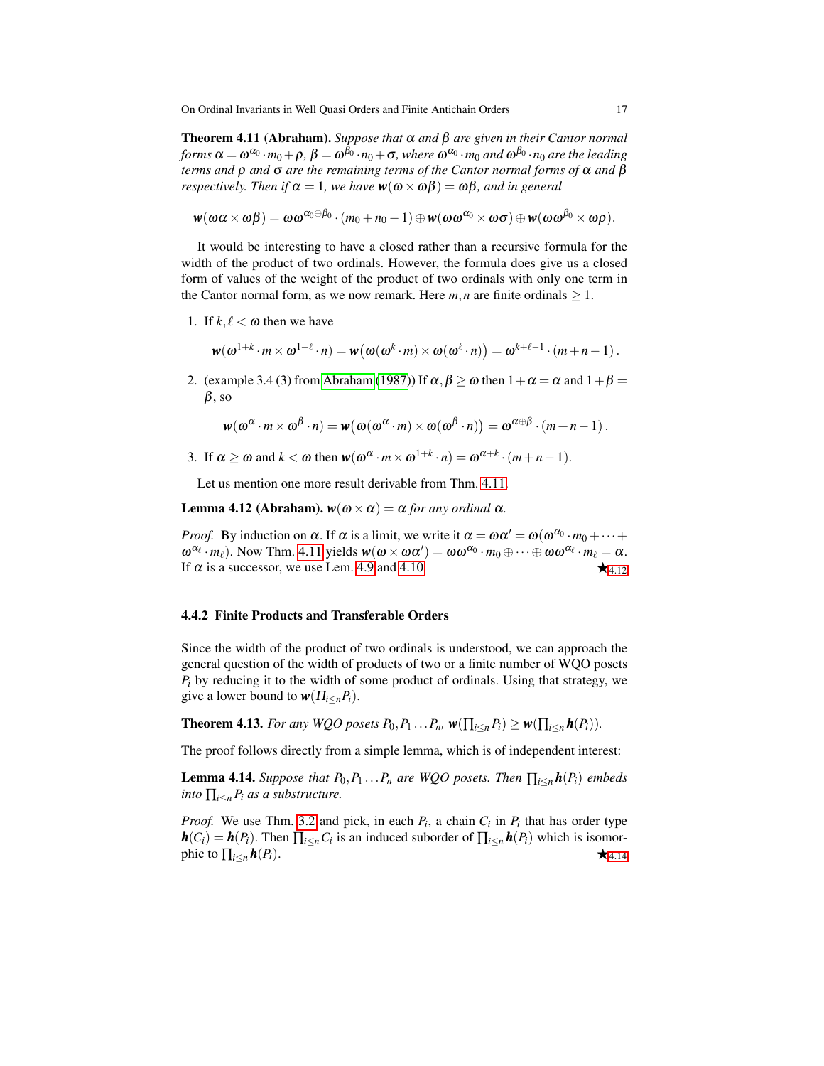Theorem 4.11 (Abraham). *Suppose that* α *and* β *are given in their Cantor normal*  $f \circ r$   $\alpha = \omega^{\alpha_0} \cdot m_0 + \rho$  ,  $\beta = \omega^{\beta_0} \cdot n_0 + \sigma$  , where  $\omega^{\alpha_0} \cdot m_0$  and  $\omega^{\beta_0} \cdot n_0$  are the leading *terms and* ρ *and* σ *are the remaining terms of the Cantor normal forms of* α *and* β *respectively. Then if*  $\alpha = 1$ *, we have*  $w(\omega \times \omega \beta) = \omega \beta$ *, and in general* 

$$
\mathbf{w}(\omega\alpha\times\omega\beta)=\omega\omega^{\alpha_0\oplus\beta_0}\cdot(m_0+n_0-1)\oplus\mathbf{w}(\omega\omega^{\alpha_0}\times\omega\sigma)\oplus\mathbf{w}(\omega\omega^{\beta_0}\times\omega\rho).
$$

It would be interesting to have a closed rather than a recursive formula for the width of the product of two ordinals. However, the formula does give us a closed form of values of the weight of the product of two ordinals with only one term in the Cantor normal form, as we now remark. Here  $m, n$  are finite ordinals  $\geq 1$ .

1. If  $k, \ell < \omega$  then we have

$$
\mathbf{w}(\omega^{1+k} \cdot m \times \omega^{1+\ell} \cdot n) = \mathbf{w}(\omega(\omega^k \cdot m) \times \omega(\omega^{\ell} \cdot n)) = \omega^{k+\ell-1} \cdot (m+n-1).
$$

2. (example 3.4 (3) from [Abraham](#page-23-6) [\(1987\)](#page-23-6)) If  $\alpha, \beta > \omega$  then  $1 + \alpha = \alpha$  and  $1 + \beta =$  $\beta$ , so

<span id="page-16-0"></span>
$$
\mathbf{w}(\omega^{\alpha} \cdot m \times \omega^{\beta} \cdot n) = \mathbf{w}(\omega(\omega^{\alpha} \cdot m) \times \omega(\omega^{\beta} \cdot n)) = \omega^{\alpha \oplus \beta} \cdot (m+n-1).
$$

3. If  $\alpha \ge \omega$  and  $k < \omega$  then  $\mathbf{w}(\omega^{\alpha} \cdot m \times \omega^{1+k} \cdot n) = \omega^{\alpha+k} \cdot (m+n-1)$ .

Let us mention one more result derivable from Thm. [4.11.](#page-15-1)

**Lemma 4.12 (Abraham).**  $w(\omega \times \alpha) = \alpha$  *for any ordinal* α*.* 

*Proof.* By induction on  $\alpha$ . If  $\alpha$  is a limit, we write it  $\alpha = \omega \alpha' = \omega(\omega^{\alpha_0} \cdot m_0 + \cdots + \omega^{\alpha_n})$  $\omega^{\alpha_{\ell}} \cdot m_{\ell}$ ). Now Thm. [4.11](#page-15-1) yields  $w(\omega \times \omega \alpha') = \omega \omega^{\alpha_{0}} \cdot m_{0} \oplus \cdots \oplus \omega \omega^{\alpha_{\ell}} \cdot m_{\ell} = \alpha$ . If  $\alpha$  is a successor, we use Lem. [4.9](#page-11-1) and [4.10.](#page-15-0)

#### 4.4.2 Finite Products and Transferable Orders

Since the width of the product of two ordinals is understood, we can approach the general question of the width of products of two or a finite number of WQO posets  $P_i$  by reducing it to the width of some product of ordinals. Using that strategy, we give a lower bound to  $w(\Pi_{i \leq n} P_i)$ .

**Theorem 4.13.** For any WQO posets  $P_0, P_1 \ldots P_n$ ,  $\mathbf{w}(\prod_{i \leq n} P_i) \geq \mathbf{w}(\prod_{i \leq n} \mathbf{h}(P_i))$ .

<span id="page-16-1"></span>The proof follows directly from a simple lemma, which is of independent interest:

**Lemma 4.14.** *Suppose that*  $P_0, P_1 \ldots P_n$  *are WQO posets. Then*  $\prod_{i \leq n} h(P_i)$  *embeds into*  $\prod_{i \leq n} P_i$  *as a substructure.* 

*Proof.* We use Thm. [3.2](#page-5-0) and pick, in each  $P_i$ , a chain  $C_i$  in  $P_i$  that has order type  $h(C_i) = h(P_i)$ . Then  $\prod_{i \leq n} C_i$  is an induced suborder of  $\prod_{i \leq n} h(P_i)$  which is isomorphic to  $\prod_{i \leq n} h(P_i)$ .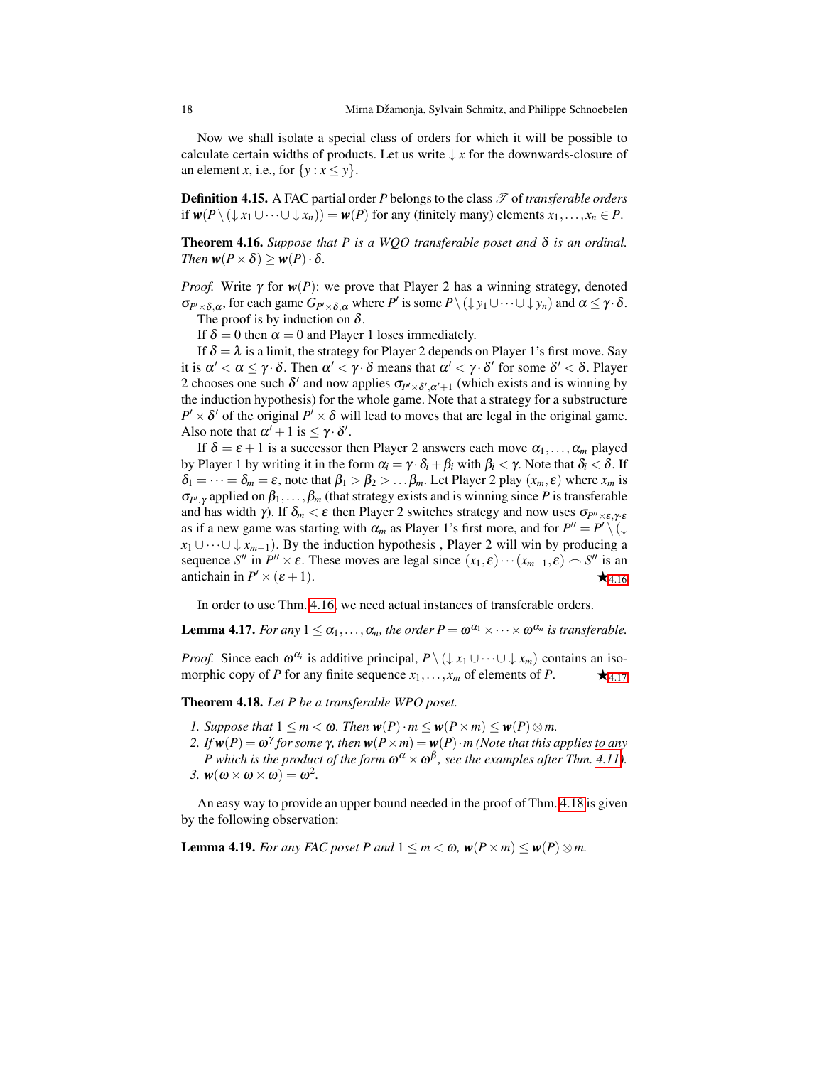Now we shall isolate a special class of orders for which it will be possible to calculate certain widths of products. Let us write  $\downarrow x$  for the downwards-closure of an element *x*, i.e., for  $\{y : x \le y\}$ .

**Definition 4.15.** A FAC partial order  $P$  belongs to the class  $\mathscr{T}$  of *transferable orders* if  $w(P \setminus (\downarrow x_1 \cup \cdots \cup \downarrow x_n)) = w(P)$  for any (finitely many) elements  $x_1, \ldots, x_n \in P$ .

<span id="page-17-1"></span>Theorem 4.16. *Suppose that P is a WQO transferable poset and* δ *is an ordinal. Then*  $w(P \times \delta) \geq w(P) \cdot \delta$ .

*Proof.* Write  $\gamma$  for  $w(P)$ : we prove that Player 2 has a winning strategy, denoted  $\sigma_{P' \times \delta, \alpha}$ , for each game  $G_{P' \times \delta, \alpha}$  where *P'* is some  $P \setminus (\downarrow y_1 \cup \cdots \cup \downarrow y_n)$  and  $\alpha \leq \gamma \cdot \delta$ . The proof is by induction on  $\delta$ .

If  $\delta = 0$  then  $\alpha = 0$  and Player 1 loses immediately.

If  $\delta = \lambda$  is a limit, the strategy for Player 2 depends on Player 1's first move. Say it is  $\alpha'<\alpha\leq\gamma\cdot\delta.$  Then  $\alpha'<\gamma\cdot\delta$  means that  $\alpha'<\gamma\cdot\delta'$  for some  $\delta'<\delta.$  Player 2 chooses one such  $\delta'$  and now applies  $\sigma_{P' \times \delta', \alpha'+1}$  (which exists and is winning by the induction hypothesis) for the whole game. Note that a strategy for a substructure  $P' \times \delta'$  of the original  $P' \times \delta$  will lead to moves that are legal in the original game. Also note that  $\alpha' + 1$  is  $\leq \gamma \cdot \delta'$ .

If  $\delta = \varepsilon + 1$  is a successor then Player 2 answers each move  $\alpha_1, \ldots, \alpha_m$  played by Player 1 by writing it in the form  $\alpha_i = \gamma \cdot \delta_i + \beta_i$  with  $\beta_i < \gamma$ . Note that  $\delta_i < \delta$ . If  $\delta_1 = \cdots = \delta_m = \varepsilon$ , note that  $\beta_1 > \beta_2 > \dots \beta_m$ . Let Player 2 play  $(x_m, \varepsilon)$  where  $x_m$  is  $\sigma_{P',\gamma}$  applied on  $\beta_1,\ldots,\beta_m$  (that strategy exists and is winning since *P* is transferable and has width γ). If  $\delta_m < \varepsilon$  then Player 2 switches strategy and now uses  $\sigma_{P''\times\varepsilon,\gamma\cdot\varepsilon}$ as if a new game was starting with  $\alpha_m$  as Player 1's first more, and for  $P'' = P' \setminus ( \downarrow$  $x_1 \cup \cdots \cup \downarrow x_{m-1}$ ). By the induction hypothesis, Player 2 will win by producing a sequence *S*<sup>*n*</sup> in *P<sup><i>n*</sup></sup>  $\times \varepsilon$ . These moves are legal since  $(x_1, \varepsilon) \cdots (x_{m-1}, \varepsilon) \sim S$ <sup>*n*</sup> is an antichain in  $P' \times (\varepsilon + 1)$ .

<span id="page-17-2"></span>In order to use Thm. [4.16,](#page-17-1) we need actual instances of transferable orders.

**Lemma 4.17.** *For any*  $1 \leq \alpha_1, \ldots, \alpha_n$ , *the order*  $P = \omega^{\alpha_1} \times \cdots \times \omega^{\alpha_n}$  *is transferable.* 

*Proof.* Since each  $\omega^{\alpha_i}$  is additive principal,  $P \setminus (\downarrow x_1 \cup \cdots \cup \downarrow x_m)$  contains an isomorphic copy of *P* for any finite sequence  $x_1, \ldots, x_m$  of elements of *P*.  $\star$  4.[17](#page-17-2)

<span id="page-17-0"></span>Theorem 4.18. *Let P be a transferable WPO poset.*

- *1. Suppose that*  $1 \leq m < \omega$ *. Then*  $w(P) \cdot m \leq w(P \times m) \leq w(P) \otimes m$ .
- *2. If*  $w(P) = ω<sup>γ</sup>$  *for some*  $γ$ *, then*  $w(P \times m) = w(P) \cdot m$  (Note that this applies to any *P* which is the product of the form  $\omega^{\alpha} \times \omega^{\beta}$ , see the examples after Thm. [4.11\)](#page-15-1). 3.  $w(\omega \times \omega \times \omega) = \omega^2$ .

An easy way to provide an upper bound needed in the proof of Thm. [4.18](#page-17-0) is given by the following observation:

<span id="page-17-3"></span>**Lemma 4.19.** *For any FAC poset P and*  $1 \le m < \omega$ ,  $w(P \times m) \le w(P) \otimes m$ .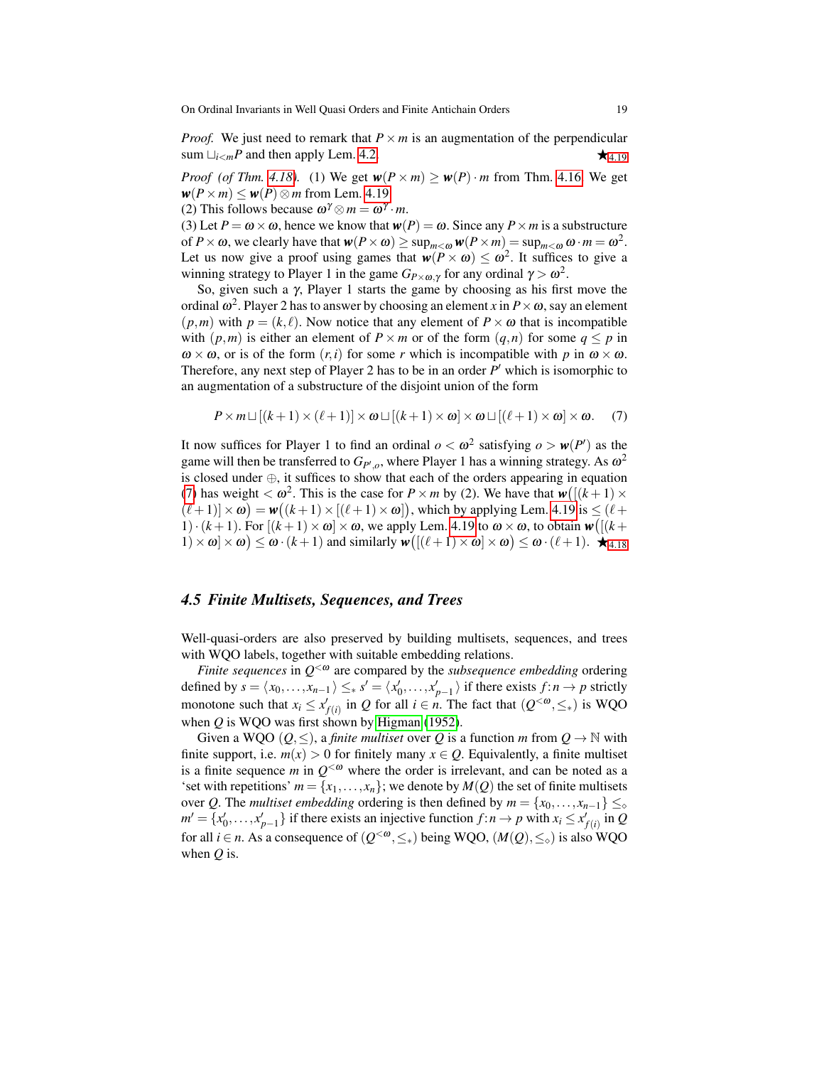*Proof.* We just need to remark that  $P \times m$  is an augmentation of the perpendicular sum  $\bigcup_{i \le m} P$  and then apply Lem. [4.2.](#page-5-0)

*Proof* (*of Thm.* [4.18\)](#page-17-0). (1) We get  $w(P \times m) \geq w(P) \cdot m$  from Thm. [4.16.](#page-17-1) We get  $w(P \times m) \leq w(P) \otimes m$  from Lem. [4.19.](#page-17-3)

(2) This follows because  $\omega^{\gamma} \otimes m = \omega^{\gamma} \cdot m$ .

(3) Let  $P = \omega \times \omega$ , hence we know that  $w(P) = \omega$ . Since any  $P \times m$  is a substructure of  $P \times \omega$ , we clearly have that  $w(P \times \omega) \ge \sup_{m \le \omega} w(P \times m) = \sup_{m \le \omega} \omega \cdot m = \omega^2$ . Let us now give a proof using games that  $w(P \times \omega) \le \omega^2$ . It suffices to give a winning strategy to Player 1 in the game  $G_{P\times\omega,\gamma}$  for any ordinal  $\gamma > \omega^2$ .

So, given such a  $\gamma$ , Player 1 starts the game by choosing as his first move the ordinal  $\omega^2$ . Player 2 has to answer by choosing an element *x* in  $P\times\omega$ , say an element  $(p,m)$  with  $p = (k,\ell)$ . Now notice that any element of  $P \times \omega$  that is incompatible with  $(p,m)$  is either an element of  $P \times m$  or of the form  $(q,n)$  for some  $q \leq p$  in  $\omega \times \omega$ , or is of the form  $(r, i)$  for some *r* which is incompatible with *p* in  $\omega \times \omega$ . Therefore, any next step of Player 2 has to be in an order P' which is isomorphic to an augmentation of a substructure of the disjoint union of the form

<span id="page-18-0"></span>
$$
P \times m \sqcup [(k+1) \times (\ell+1)] \times \omega \sqcup [(k+1) \times \omega] \times \omega \sqcup [(\ell+1) \times \omega] \times \omega. \quad (7)
$$

It now suffices for Player 1 to find an ordinal  $o < \omega^2$  satisfying  $o > w(P')$  as the game will then be transferred to  $G_{P',o}$ , where Player 1 has a winning strategy. As  $\omega^2$ is closed under ⊕, it suffices to show that each of the orders appearing in equation [\(7\)](#page-18-0) has weight  $< \omega^2$ . This is the case for  $P \times m$  by (2). We have that  $w([k+1) \times m)$  $(\ell+1) \times \omega$ ) =  $\mathbf{w}((k+1) \times [(\ell+1) \times \omega])$ , which by applying Lem. [4.19](#page-17-3) is  $\leq (\ell+1)$ 1)  $\cdot$  (*k* + 1). For  $[(k+1) \times \omega] \times \omega$ , we apply Lem. [4.19](#page-17-3) to  $\omega \times \omega$ , to obtain  $\mathbf{w} \cdot [[k+1] \cdot \mathbf{w}]$  $(1) \times \omega \times \omega \leq \omega \cdot (k+1)$  and similarly  $\mathbf{w} \left( \left[ (\ell+1) \times \omega \right] \times \omega \right) \leq \omega \cdot (\ell+1)$ .  $\mathbf{\hat{+}}$  4.[18](#page-17-0)

## *4.5 Finite Multisets, Sequences, and Trees*

Well-quasi-orders are also preserved by building multisets, sequences, and trees with WQO labels, together with suitable embedding relations.

*Finite sequences* in  $Q^{\leq \omega}$  are compared by the *subsequence embedding* ordering defined by  $s = \langle x_0, \ldots, x_{n-1} \rangle \leq_* s' = \langle x'_0, \ldots, x'_{p-1} \rangle$  if there exists  $f : n \to p$  strictly monotone such that  $x_i \le x'_{f(i)}$  in *Q* for all  $i \in n$ . The fact that  $(Q^{< \omega}, \leq_*)$  is WQO when *Q* is WQO was first shown by [Higman](#page-23-7) [\(1952\)](#page-23-7).

Given a WQO  $(Q, \leq)$ , a *finite multiset* over Q is a function m from  $Q \to \mathbb{N}$  with finite support, i.e.  $m(x) > 0$  for finitely many  $x \in Q$ . Equivalently, a finite multiset is a finite sequence *m* in  $Q^{< \omega}$  where the order is irrelevant, and can be noted as a 'set with repetitions'  $m = \{x_1, \ldots, x_n\}$ ; we denote by  $M(Q)$  the set of finite multisets over *Q*. The *multiset embedding* ordering is then defined by  $m = \{x_0, \ldots, x_{n-1}\} \leq_{\diamond}$  $m' = \{x'_0, \ldots, x'_{p-1}\}\$ if there exists an injective function  $f : n \to p$  with  $x_i \le x'_{f(i)}$  in *Q* for all *i* ∈ *n*. As a consequence of  $(Q^{<\omega}, \leq_*)$  being WQO,  $(M(Q), \leq_>)$  is also WQO when *Q* is.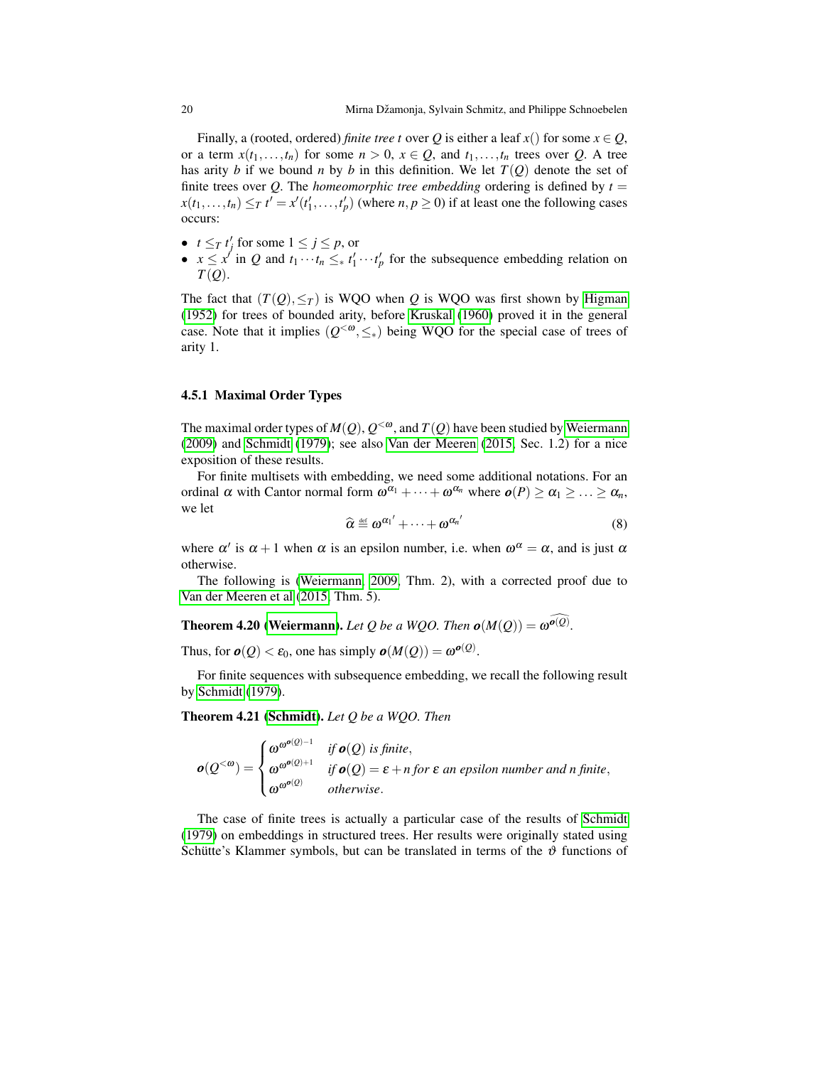Finally, a (rooted, ordered) *finite tree t* over *Q* is either a leaf *x*() for some  $x \in Q$ , or a term  $x(t_1,...,t_n)$  for some  $n > 0$ ,  $x \in Q$ , and  $t_1,...,t_n$  trees over *Q*. A tree has arity *b* if we bound *n* by *b* in this definition. We let  $T(Q)$  denote the set of finite trees over Q. The *homeomorphic tree embedding* ordering is defined by  $t =$  $x(t_1,...,t_n) \leq T$  *t*  $' = x'(t'_1,...,t'_p)$  (where *n*, *p*  $\geq$  0) if at least one the following cases occurs:

- $t \leq T$   $t'_j$  for some  $1 \leq j \leq p$ , or
- $x \leq x'$  in *Q* and  $t_1 \cdots t_n \leq * t'_1 \cdots t'_p$  for the subsequence embedding relation on *T*(*Q*).

The fact that  $(T(Q), \leq_T)$  is WQO when *Q* is WQO was first shown by [Higman](#page-23-7) [\(1952\)](#page-23-7) for trees of bounded arity, before [Kruskal](#page-24-13) [\(1960\)](#page-24-13) proved it in the general case. Note that it implies  $(Q^{<\omega}, \leq_*)$  being WQO for the special case of trees of arity 1.

#### 4.5.1 Maximal Order Types

The maximal order types of  $M(Q)$ ,  $Q^{&\omega}$ , and  $T(Q)$  have been studied by [Weiermann](#page-24-14) [\(2009\)](#page-24-14) and [Schmidt](#page-24-5) [\(1979\)](#page-24-5); see also [Van der Meeren](#page-24-15) [\(2015,](#page-24-15) Sec. 1.2) for a nice exposition of these results.

For finite multisets with embedding, we need some additional notations. For an ordinal  $\alpha$  with Cantor normal form  $\omega^{\alpha_1} + \cdots + \omega^{\alpha_n}$  where  $\boldsymbol{o}(P) \ge \alpha_1 \ge \ldots \ge \alpha_n$ , we let

<span id="page-19-1"></span>
$$
\widehat{\alpha} \stackrel{\text{\tiny def}}{=} \omega^{\alpha_1'} + \cdots + \omega^{\alpha_n'} \tag{8}
$$

where  $\alpha'$  is  $\alpha + 1$  when  $\alpha$  is an epsilon number, i.e. when  $\omega^{\alpha} = \alpha$ , and is just  $\alpha$ otherwise.

The following is [\(Weiermann, 2009,](#page-24-14) Thm. 2), with a corrected proof due to [Van der Meeren et al](#page-24-16) [\(2015,](#page-24-16) Thm. 5).

**Theorem 4.20 [\(Weiermann\)](#page-24-14).** Let Q be a WQO. Then  $o(M(Q)) = \omega^{\widehat{o(Q)}}$ .

Thus, for  $o(Q) < \varepsilon_0$ , one has simply  $o(M(Q)) = \omega^{o(Q)}$ .

<span id="page-19-0"></span>For finite sequences with subsequence embedding, we recall the following result by [Schmidt](#page-24-5) [\(1979\)](#page-24-5).

Theorem 4.21 [\(Schmidt\)](#page-24-5). *Let Q be a WQO. Then*

$$
\mathbf{o}(Q^{<\omega}) = \begin{cases} \omega^{\omega^{\mathbf{o}(Q)-1}} & \text{if } \mathbf{o}(Q) \text{ is finite,} \\ \omega^{\omega^{\mathbf{o}(Q)+1}} & \text{if } \mathbf{o}(Q) = \varepsilon + n \text{ for } \varepsilon \text{ an epsilon number and } n \text{ finite,} \\ \omega^{\omega^{\mathbf{o}(Q)}} & \text{otherwise.} \end{cases}
$$

The case of finite trees is actually a particular case of the results of [Schmidt](#page-24-5) [\(1979\)](#page-24-5) on embeddings in structured trees. Her results were originally stated using Schütte's Klammer symbols, but can be translated in terms of the  $\vartheta$  functions of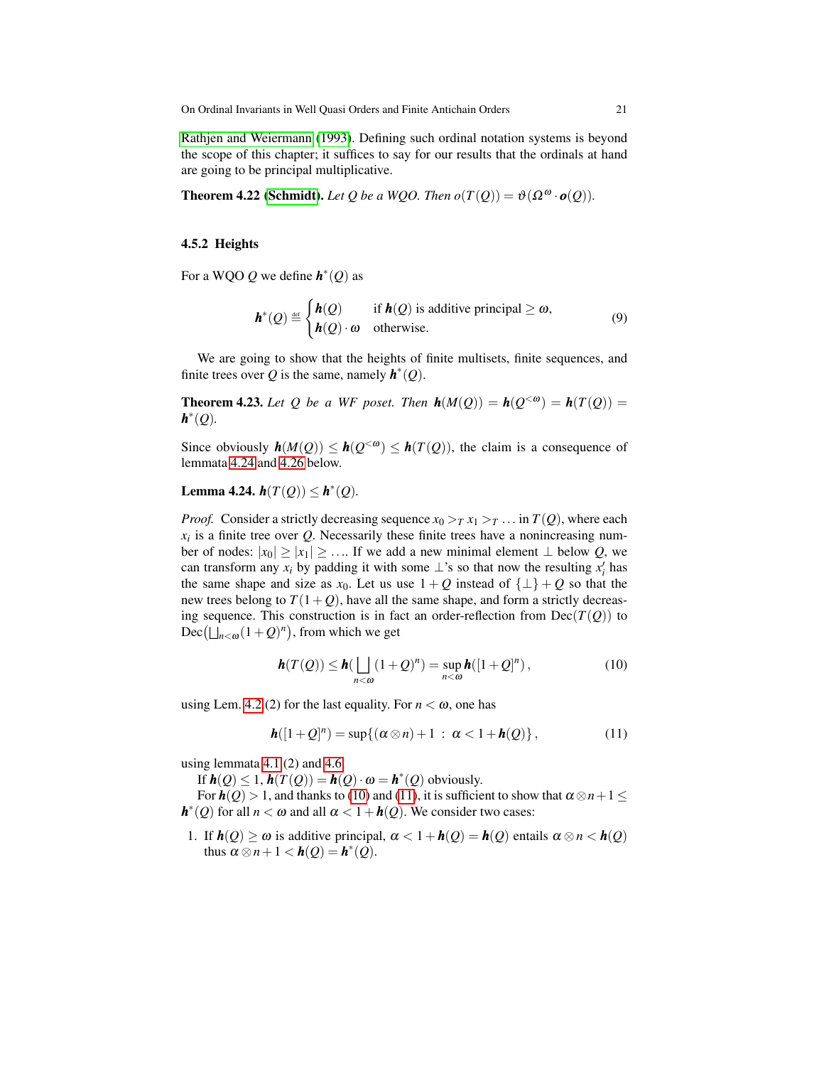[Rathjen and Weiermann](#page-24-17) [\(1993\)](#page-24-17). Defining such ordinal notation systems is beyond the scope of this chapter; it suffices to say for our results that the ordinals at hand are going to be principal multiplicative.

**Theorem 4.22 [\(Schmidt\)](#page-24-5).** *Let Q be a WQO. Then*  $o(T(Q)) = \vartheta(\Omega^{\omega} \cdot o(Q))$ *.* 

#### <span id="page-20-5"></span>4.5.2 Heights

For a WQO  $Q$  we define  $h^*(Q)$  as

<span id="page-20-3"></span>
$$
h^*(Q) \stackrel{\text{def}}{=} \begin{cases} h(Q) & \text{if } h(Q) \text{ is additive principal } \ge \omega, \\ h(Q) \cdot \omega & \text{otherwise.} \end{cases}
$$
(9)

We are going to show that the heights of finite multisets, finite sequences, and finite trees over *Q* is the same, namely  $h^*(Q)$ .

<span id="page-20-4"></span>**Theorem 4.23.** Let Q be a WF poset. Then  $h(M(Q)) = h(Q^{<\omega}) = h(T(Q)) =$ *h* ∗ (*Q*)*.*

Since obviously  $h(M(Q)) \leq h(Q^{<\omega}) \leq h(T(Q))$ , the claim is a consequence of lemmata [4.24](#page-20-0) and [4.26](#page-21-0) below.

<span id="page-20-0"></span>Lemma 4.24.  $h(T(Q)) \leq h^*(Q)$ .

*Proof.* Consider a strictly decreasing sequence  $x_0 > T x_1 > T$ ... in  $T(Q)$ , where each  $x_i$  is a finite tree over  $Q$ . Necessarily these finite trees have a nonincreasing number of nodes:  $|x_0| \ge |x_1| \ge \dots$  If we add a new minimal element ⊥ below *Q*, we can transform any  $x_i$  by padding it with some  $\perp$ 's so that now the resulting  $x'_i$  has the same shape and size as  $x_0$ . Let us use  $1 + Q$  instead of  $\{\perp\} + Q$  so that the new trees belong to  $T(1+Q)$ , have all the same shape, and form a strictly decreasing sequence. This construction is in fact an order-reflection from  $Dec(T(Q))$  to  $Dec(\bigsqcup_{n<\omega}(1+Q)^n)$ , from which we get

<span id="page-20-1"></span>
$$
\mathbf{h}(T(Q)) \leq \mathbf{h}(\bigsqcup_{n<\omega} (1+Q)^n) = \sup_{n<\omega} \mathbf{h}([1+Q]^n),
$$
\n(10)

using Lem. [4.2.](#page-5-0)(2) for the last equality. For  $n < \omega$ , one has

<span id="page-20-2"></span>
$$
\mathbf{h}([1+Q]^n) = \sup\{(\alpha \otimes n) + 1 \,:\, \alpha < 1 + \mathbf{h}(Q)\},\tag{11}
$$

using lemmata [4.1.](#page-4-1)(2) and [4.6.](#page-9-2)

If  $h(Q) \leq 1$ ,  $h(T(Q)) = h(Q) \cdot \omega = h^*(Q)$  obviously.

For  $h(Q) > 1$ , and thanks to [\(10\)](#page-20-1) and [\(11\)](#page-20-2), it is sufficient to show that  $\alpha \otimes n + 1 \leq$  $h^*(Q)$  for all  $n < \omega$  and all  $\alpha < 1 + h(Q)$ . We consider two cases:

1. If  $h(Q) \ge \omega$  is additive principal,  $\alpha < 1 + h(Q) = h(Q)$  entails  $\alpha \otimes n < h(Q)$ thus  $\alpha \otimes n + 1 < h(Q) = h^*(Q)$ .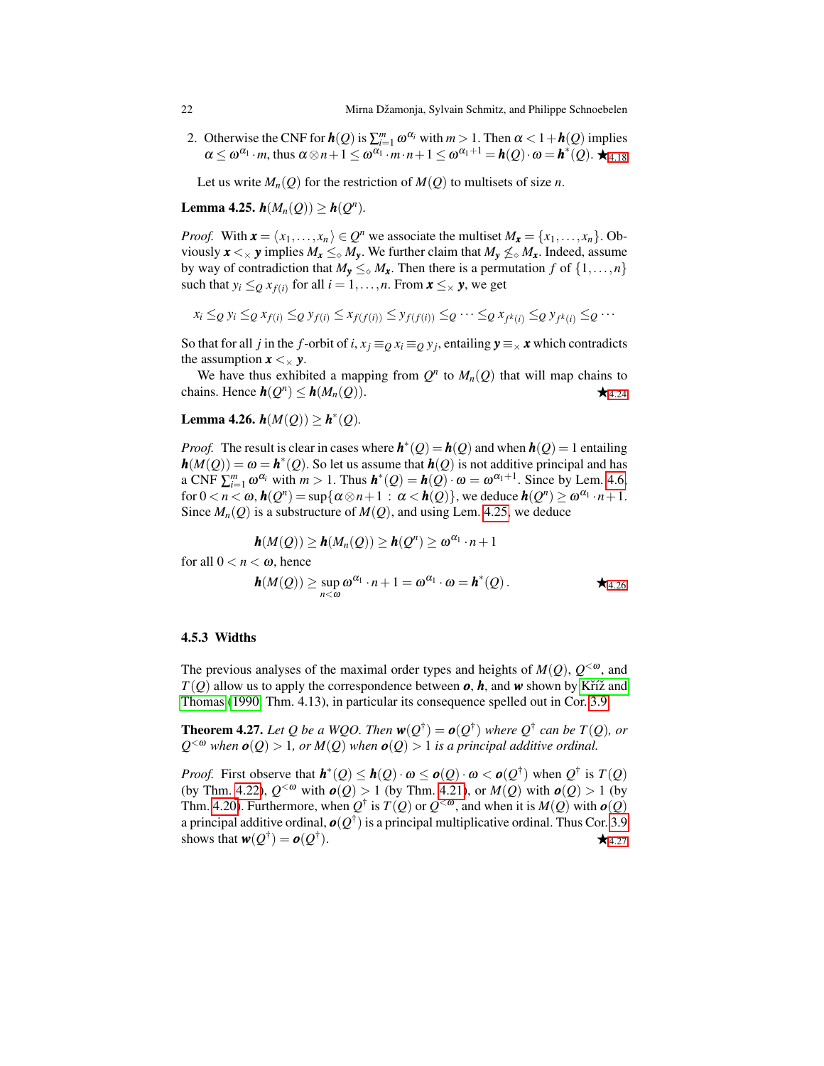2. Otherwise the CNF for  $h(Q)$  is  $\sum_{i=1}^{m} \omega^{\alpha_i}$  with  $m > 1$ . Then  $\alpha < 1 + h(Q)$  implies  $\alpha \leq \omega^{\alpha_1} \cdot m$ , thus  $\alpha \otimes n + 1 \leq \omega^{\alpha_1} \cdot m \cdot n + 1 \leq \omega^{\alpha_1+1} = h(Q) \cdot \omega = h^*(Q)$ .

<span id="page-21-1"></span>Let us write  $M_n(Q)$  for the restriction of  $M(Q)$  to multisets of size *n*.

Lemma 4.25.  $h(M_n(Q)) \ge h(Q^n)$ .

*Proof.* With  $\mathbf{x} = \langle x_1, \ldots, x_n \rangle \in Q^n$  we associate the multiset  $M_{\mathbf{x}} = \{x_1, \ldots, x_n\}$ . Obviously  $x \leq x$  *y* implies  $M_x \leq_\diamond M_y$ . We further claim that  $M_y \nleq_\diamond M_x$ . Indeed, assume by way of contradiction that  $M_y \leq_{\diamond} M_x$ . Then there is a permutation *f* of  $\{1, \ldots, n\}$ such that  $y_i \leq_Q x_{f(i)}$  for all  $i = 1, ..., n$ . From  $\mathbf{x} \leq_{\times} \mathbf{y}$ , we get

$$
x_i \leq_Q y_i \leq_Q x_{f(i)} \leq_Q y_{f(i)} \leq x_{f(f(i))} \leq y_{f(f(i))} \leq_Q \cdots \leq_Q x_{f^k(i)} \leq_Q y_{f^k(i)} \leq_Q \cdots
$$

So that for all *j* in the *f*-orbit of *i*,  $x_j \equiv_Q x_i \equiv_Q y_j$ , entailing  $y \equiv_\times x$  which contradicts the assumption  $x \leq x$  y.

We have thus exhibited a mapping from  $Q^n$  to  $M_n(Q)$  that will map chains to chains. Hence  $h(Q^n) \le h(M_n(Q))$ .

<span id="page-21-0"></span>Lemma 4.26.  $h(M(Q)) \ge h^*(Q)$ .

*Proof.* The result is clear in cases where  $h^*(Q) = h(Q)$  and when  $h(Q) = 1$  entailing  $h(M(Q)) = \omega = h^*(Q)$ . So let us assume that  $h(Q)$  is not additive principal and has a CNF  $\sum_{i=1}^{m} \omega^{\alpha_i}$  with  $m > 1$ . Thus  $h^*(Q) = h(Q) \cdot \omega = \omega^{\alpha_1+1}$ . Since by Lem. [4.6,](#page-9-2) for  $0 < n < \omega$ ,  $h(Q^n) = \sup \{ \alpha \otimes n + 1 : \alpha < h(Q) \}$ , we deduce  $h(Q^n) \ge \omega^{\alpha_1} \cdot n + 1$ . Since  $M_n(Q)$  is a substructure of  $M(Q)$ , and using Lem. [4.25,](#page-21-1) we deduce

$$
\mathbf{h}(M(Q)) \geq \mathbf{h}(M_n(Q)) \geq \mathbf{h}(Q^n) \geq \omega^{\alpha_1} \cdot n + 1
$$

for all  $0 < n < \omega$ , hence

$$
\mathbf{h}(M(Q)) \geq \sup_{n < \omega} \omega^{\alpha_1} \cdot n + 1 = \omega^{\alpha_1} \cdot \omega = \mathbf{h}^*(Q).
$$

#### 4.5.3 Widths

The previous analyses of the maximal order types and heights of  $M(Q)$ ,  $Q^{<\omega}$ , and  $T(Q)$  allow us to apply the correspondence between  $o$ ,  $h$ , and  $w$  shown by Kříž and [Thomas](#page-24-4) [\(1990,](#page-24-4) Thm. 4.13), in particular its consequence spelled out in Cor. [3.9.](#page-11-1)

<span id="page-21-2"></span>**Theorem 4.27.** Let Q be a WQO. Then  $w(Q^{\dagger}) = o(Q^{\dagger})$  where  $Q^{\dagger}$  can be  $T(Q)$ , or  $Q^{<\omega}$  when  $o(Q) > 1$ , or  $M(Q)$  when  $o(Q) > 1$  is a principal additive ordinal.

*Proof.* First observe that  $h^*(Q) \leq h(Q) \cdot \omega \leq o(Q) \cdot \omega < o(Q^{\dagger})$  when  $Q^{\dagger}$  is  $T(Q)$ (by Thm. [4.22\)](#page-20-3),  $Q^{< \omega}$  with  $o(Q) > 1$  (by Thm. [4.21\)](#page-19-0), or  $M(Q)$  with  $o(Q) > 1$  (by Thm. [4.20\)](#page-19-1). Furthermore, when  $Q^{\dagger}$  is  $T(Q)$  or  $Q^{<\omega}$ , and when it is  $M(Q)$  with  $o(Q)$ a principal additive ordinal,  $\bm{o}(\mathcal{Q}^\dagger)$  is a principal multiplicative ordinal. Thus Cor. [3.9](#page-11-1) shows that  $\bm{w}(Q^\dagger)=\bm{o}(Q^\dagger)$ ).  $\star$  4.[27](#page-21-2)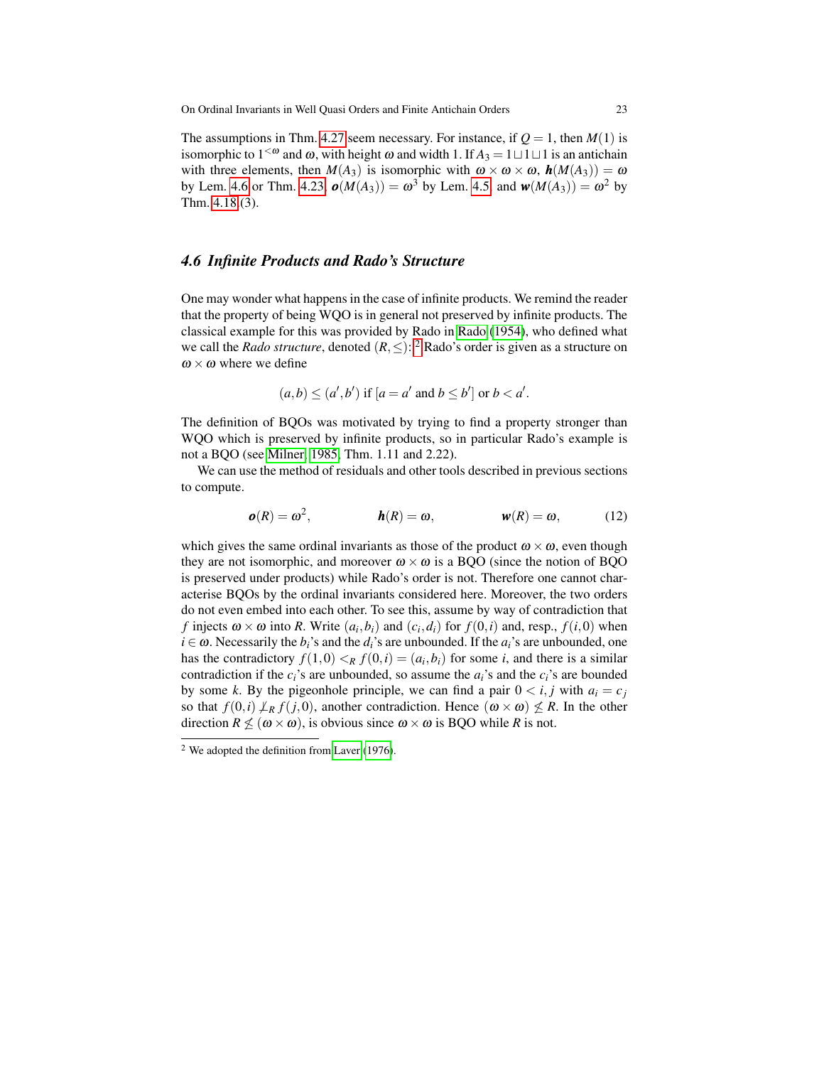The assumptions in Thm. [4.27](#page-21-2) seem necessary. For instance, if  $Q = 1$ , then  $M(1)$  is isomorphic to  $1^{< \omega}$  and  $\omega$ , with height  $\omega$  and width 1. If  $A_3 = 1 \sqcup 1 \sqcup 1$  is an antichain with three elements, then  $M(A_3)$  is isomorphic with  $\omega \times \omega \times \omega$ ,  $h(M(A_3)) = \omega$ by Lem. [4.6](#page-9-2) or Thm. [4.23,](#page-20-4)  $\mathbf{o}(M(A_3)) = \omega^3$  by Lem. [4.5,](#page-6-2) and  $\mathbf{w}(M(A_3)) = \omega^2$  by Thm. [4.18.](#page-17-0)(3).

# <span id="page-22-0"></span>*4.6 Infinite Products and Rado's Structure*

One may wonder what happens in the case of infinite products. We remind the reader that the property of being WQO is in general not preserved by infinite products. The classical example for this was provided by Rado in [Rado](#page-24-18) [\(1954\)](#page-24-18), who defined what we call the *Rado structure*, denoted  $(R, \leq)$ : <sup>[2](#page-22-1)</sup> Rado's order is given as a structure on  $\omega \times \omega$  where we define

$$
(a,b) \leq (a',b')
$$
 if  $[a=a'$  and  $b \leq b']$  or  $b < a'$ .

The definition of BQOs was motivated by trying to find a property stronger than WQO which is preserved by infinite products, so in particular Rado's example is not a BQO (see [Milner, 1985,](#page-24-7) Thm. 1.11 and 2.22).

We can use the method of residuals and other tools described in previous sections to compute.

$$
\boldsymbol{\omega}(R) = \boldsymbol{\omega}^2, \qquad \qquad \boldsymbol{h}(R) = \boldsymbol{\omega}, \qquad \qquad \boldsymbol{w}(R) = \boldsymbol{\omega}, \qquad (12)
$$

which gives the same ordinal invariants as those of the product  $\omega \times \omega$ , even though they are not isomorphic, and moreover  $\omega \times \omega$  is a BQO (since the notion of BQO is preserved under products) while Rado's order is not. Therefore one cannot characterise BQOs by the ordinal invariants considered here. Moreover, the two orders do not even embed into each other. To see this, assume by way of contradiction that *f* injects  $\omega \times \omega$  into *R*. Write  $(a_i, b_i)$  and  $(c_i, d_i)$  for  $f(0, i)$  and, resp.,  $f(i, 0)$  when  $i \in \omega$ . Necessarily the  $b_i$ 's and the  $d_i$ 's are unbounded. If the  $a_i$ 's are unbounded, one has the contradictory  $f(1,0) <sub>R</sub> f(0,i) = (a_i, b_i)$  for some *i*, and there is a similar contradiction if the  $c_i$ 's are unbounded, so assume the  $a_i$ 's and the  $c_i$ 's are bounded by some *k*. By the pigeonhole principle, we can find a pair  $0 \lt i, j$  with  $a_i = c_j$ so that  $f(0,i) \nleq_R f(j,0)$ , another contradiction. Hence  $(\omega \times \omega) \nleq R$ . In the other direction  $R \nleq (\omega \times \omega)$ , is obvious since  $\omega \times \omega$  is BQO while *R* is not.

<span id="page-22-1"></span><sup>2</sup> We adopted the definition from [Laver](#page-24-19) [\(1976\)](#page-24-19).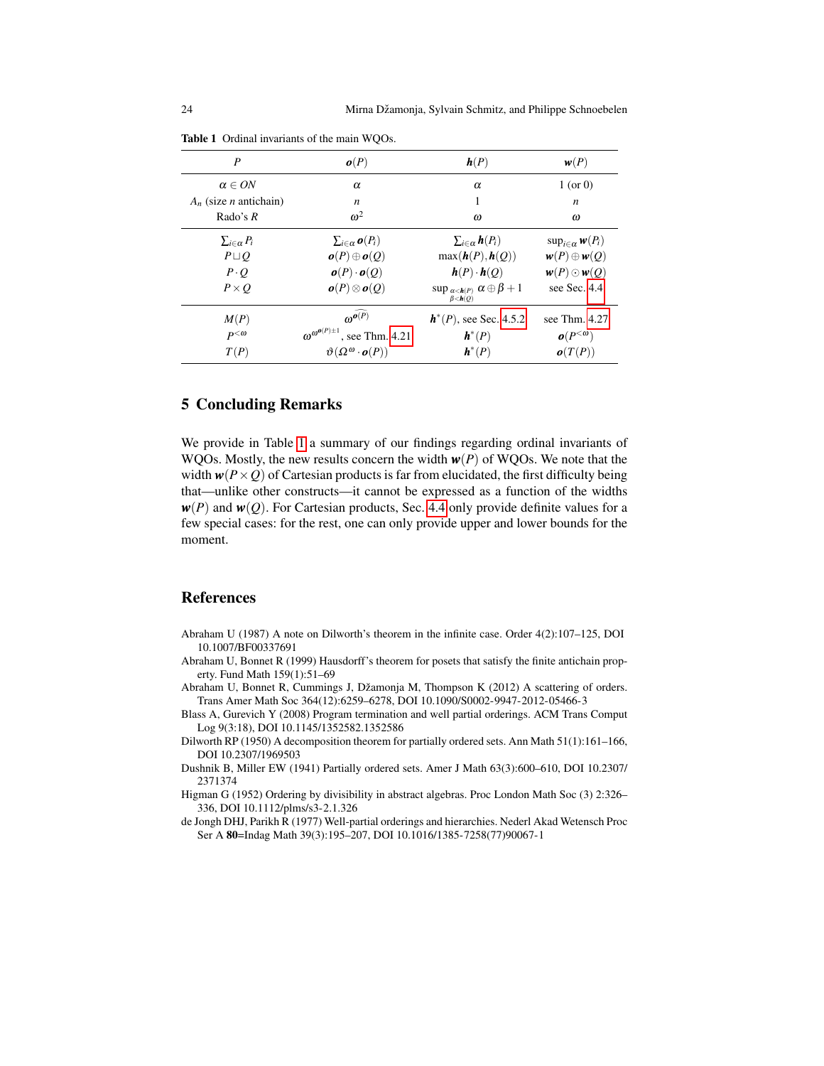| P                               | o(P)                                             | h(P)                                                             | w(P)                         |
|---------------------------------|--------------------------------------------------|------------------------------------------------------------------|------------------------------|
| $\alpha \in ON$                 | $\alpha$                                         | $\alpha$                                                         | $1$ (or 0)                   |
| $A_n$ (size <i>n</i> antichain) | n                                                | 1                                                                | n                            |
| Rado's $R$                      | $\omega^2$                                       | $\omega$                                                         | ω                            |
| $\sum_{i\in\alpha}P_i$          | $\sum_{i \in \alpha} o(P_i)$                     | $\sum_{i\in\alpha}$ <b>h</b> $(P_i)$                             | $\sup_{i \in \alpha} w(P_i)$ |
| $P \sqcup Q$                    | $o(P)\oplus o(Q)$                                | $max(\boldsymbol{h}(P), \boldsymbol{h}(Q))$                      | $w(P) \oplus w(Q)$           |
| $P \cdot Q$                     | $\boldsymbol{o}(P) \cdot \boldsymbol{o}(Q)$      | $h(P) \cdot h(Q)$                                                | $w(P) \odot w(Q)$            |
| $P \times O$                    | $o(P)\otimes o(Q)$                               | $\sup_{\alpha < h(P)} \alpha \oplus \beta + 1$<br>$\beta < h(Q)$ | see Sec. 4.4                 |
| M(P)                            | $\omega^{o(P)}$                                  | $h^*(P)$ , see Sec. 4.5.2                                        | see Thm. $4.27$              |
| $P^{<\omega}$                   | $\omega^{\omega^{o(P)\pm 1}}$<br>, see Thm. 4.21 | $h^*(P)$                                                         | $o(P^{<\omega})$             |
| T(P)                            | $\vartheta(\Omega^{\omega} \cdot o(P))$          | $h^*(P)$                                                         | o(T(P))                      |

<span id="page-23-8"></span>Table 1 Ordinal invariants of the main WQOs.

## 5 Concluding Remarks

We provide in Table [1](#page-23-8) a summary of our findings regarding ordinal invariants of WQOs. Mostly, the new results concern the width *w*(*P*) of WQOs. We note that the width  $w(P \times Q)$  of Cartesian products is far from elucidated, the first difficulty being that—unlike other constructs—it cannot be expressed as a function of the widths  $w(P)$  and  $w(Q)$ . For Cartesian products, Sec. [4.4](#page-13-0) only provide definite values for a few special cases: for the rest, one can only provide upper and lower bounds for the moment.

# References

- <span id="page-23-6"></span>Abraham U (1987) A note on Dilworth's theorem in the infinite case. Order 4(2):107–125, DOI 10.1007/BF00337691
- <span id="page-23-3"></span>Abraham U, Bonnet R (1999) Hausdorff's theorem for posets that satisfy the finite antichain property. Fund Math 159(1):51–69
- <span id="page-23-5"></span>Abraham U, Bonnet R, Cummings J, Džamonja M, Thompson K (2012) A scattering of orders. Trans Amer Math Soc 364(12):6259–6278, DOI 10.1090/S0002-9947-2012-05466-3
- <span id="page-23-2"></span>Blass A, Gurevich Y (2008) Program termination and well partial orderings. ACM Trans Comput Log 9(3:18), DOI 10.1145/1352582.1352586
- <span id="page-23-0"></span>Dilworth RP (1950) A decomposition theorem for partially ordered sets. Ann Math 51(1):161–166, DOI 10.2307/1969503
- <span id="page-23-4"></span>Dushnik B, Miller EW (1941) Partially ordered sets. Amer J Math 63(3):600–610, DOI 10.2307/ 2371374
- <span id="page-23-7"></span>Higman G (1952) Ordering by divisibility in abstract algebras. Proc London Math Soc (3) 2:326– 336, DOI 10.1112/plms/s3-2.1.326
- <span id="page-23-1"></span>de Jongh DHJ, Parikh R (1977) Well-partial orderings and hierarchies. Nederl Akad Wetensch Proc Ser A 80=Indag Math 39(3):195–207, DOI 10.1016/1385-7258(77)90067-1